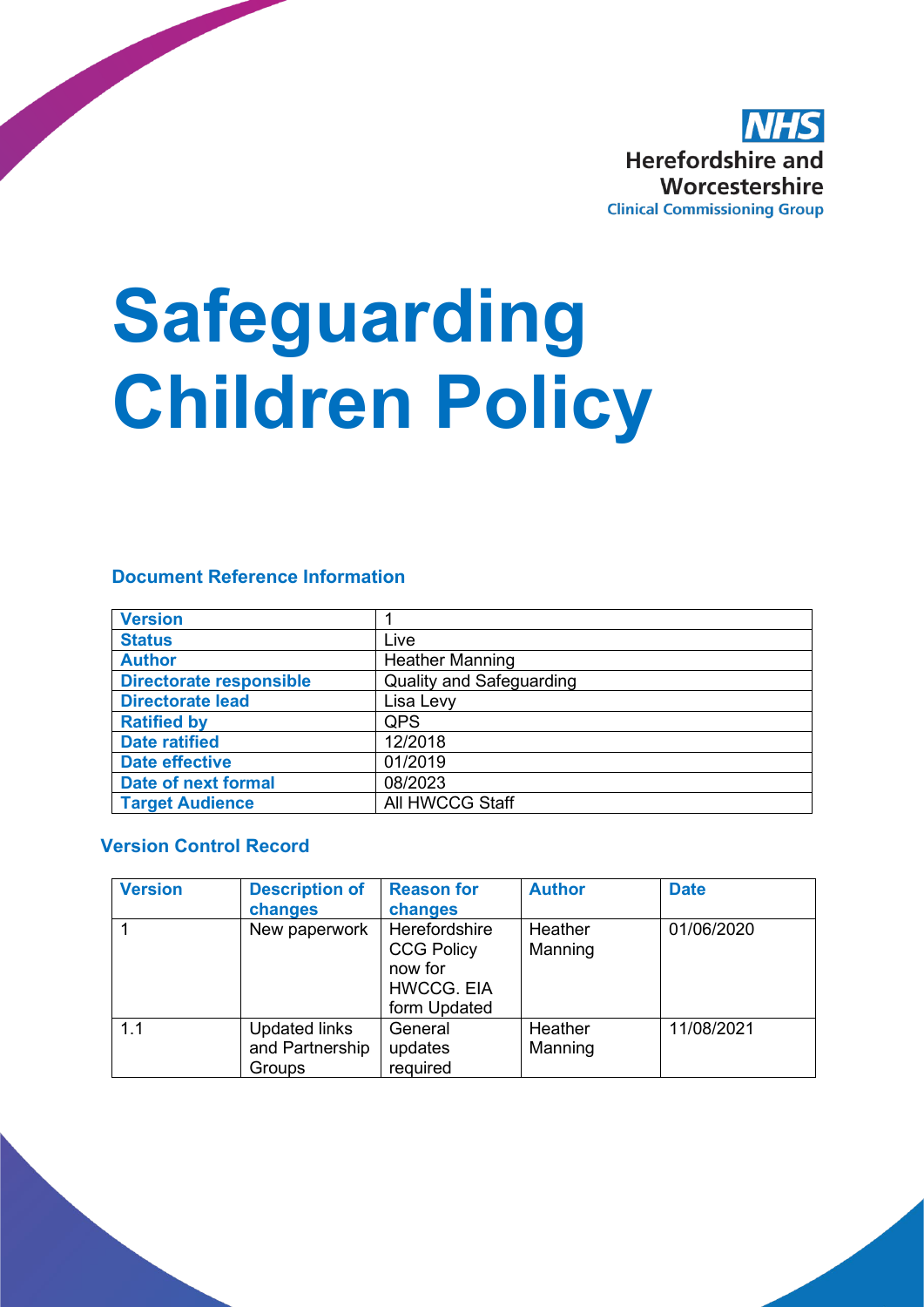

# **Safeguarding Children Policy**

#### **Document Reference Information**

| <b>Version</b>                 |                                 |
|--------------------------------|---------------------------------|
| <b>Status</b>                  | Live                            |
| <b>Author</b>                  | <b>Heather Manning</b>          |
| <b>Directorate responsible</b> | <b>Quality and Safeguarding</b> |
| <b>Directorate lead</b>        | Lisa Levy                       |
| <b>Ratified by</b>             | <b>QPS</b>                      |
| <b>Date ratified</b>           | 12/2018                         |
| <b>Date effective</b>          | 01/2019                         |
| <b>Date of next formal</b>     | 08/2023                         |
| <b>Target Audience</b>         | All HWCCG Staff                 |

#### **Version Control Record**

| <b>Version</b> | <b>Description of</b><br>changes                  | <b>Reason for</b><br>changes                                                       | <b>Author</b>      | <b>Date</b> |
|----------------|---------------------------------------------------|------------------------------------------------------------------------------------|--------------------|-------------|
|                | New paperwork                                     | Herefordshire<br><b>CCG Policy</b><br>now for<br><b>HWCCG. EIA</b><br>form Updated | Heather<br>Manning | 01/06/2020  |
| 1.1            | <b>Updated links</b><br>and Partnership<br>Groups | General<br>updates<br>required                                                     | Heather<br>Manning | 11/08/2021  |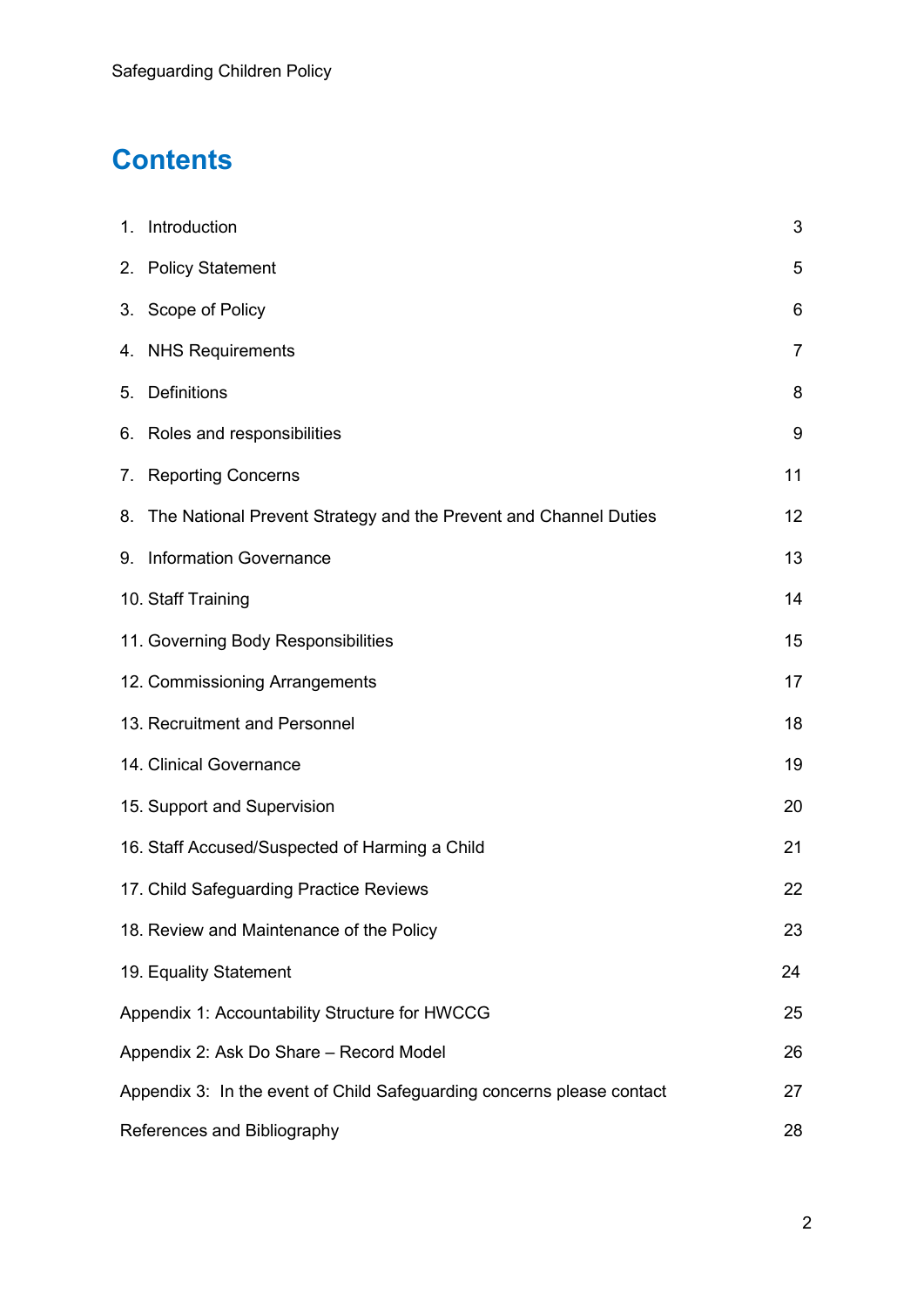## **Contents**

|                                   | 1. Introduction                                                        | 3              |  |
|-----------------------------------|------------------------------------------------------------------------|----------------|--|
|                                   | 2. Policy Statement                                                    | 5              |  |
|                                   | 3. Scope of Policy                                                     | 6              |  |
|                                   | 4. NHS Requirements                                                    | $\overline{7}$ |  |
|                                   | 5. Definitions                                                         | 8              |  |
|                                   | 6. Roles and responsibilities                                          | 9              |  |
|                                   | 7. Reporting Concerns                                                  | 11             |  |
|                                   | 8. The National Prevent Strategy and the Prevent and Channel Duties    | 12             |  |
|                                   | 9. Information Governance                                              | 13             |  |
|                                   | 10. Staff Training                                                     | 14             |  |
|                                   | 11. Governing Body Responsibilities                                    | 15             |  |
|                                   | 12. Commissioning Arrangements                                         | 17             |  |
|                                   | 13. Recruitment and Personnel                                          | 18             |  |
|                                   | 14. Clinical Governance                                                | 19             |  |
|                                   | 15. Support and Supervision                                            | 20             |  |
|                                   | 16. Staff Accused/Suspected of Harming a Child                         | 21             |  |
|                                   | 17. Child Safeguarding Practice Reviews                                | 22             |  |
|                                   | 18. Review and Maintenance of the Policy                               | 23             |  |
|                                   | 19. Equality Statement                                                 | 24             |  |
|                                   | Appendix 1: Accountability Structure for HWCCG                         | 25             |  |
|                                   | Appendix 2: Ask Do Share - Record Model                                | 26             |  |
|                                   | Appendix 3: In the event of Child Safeguarding concerns please contact | 27             |  |
| References and Bibliography<br>28 |                                                                        |                |  |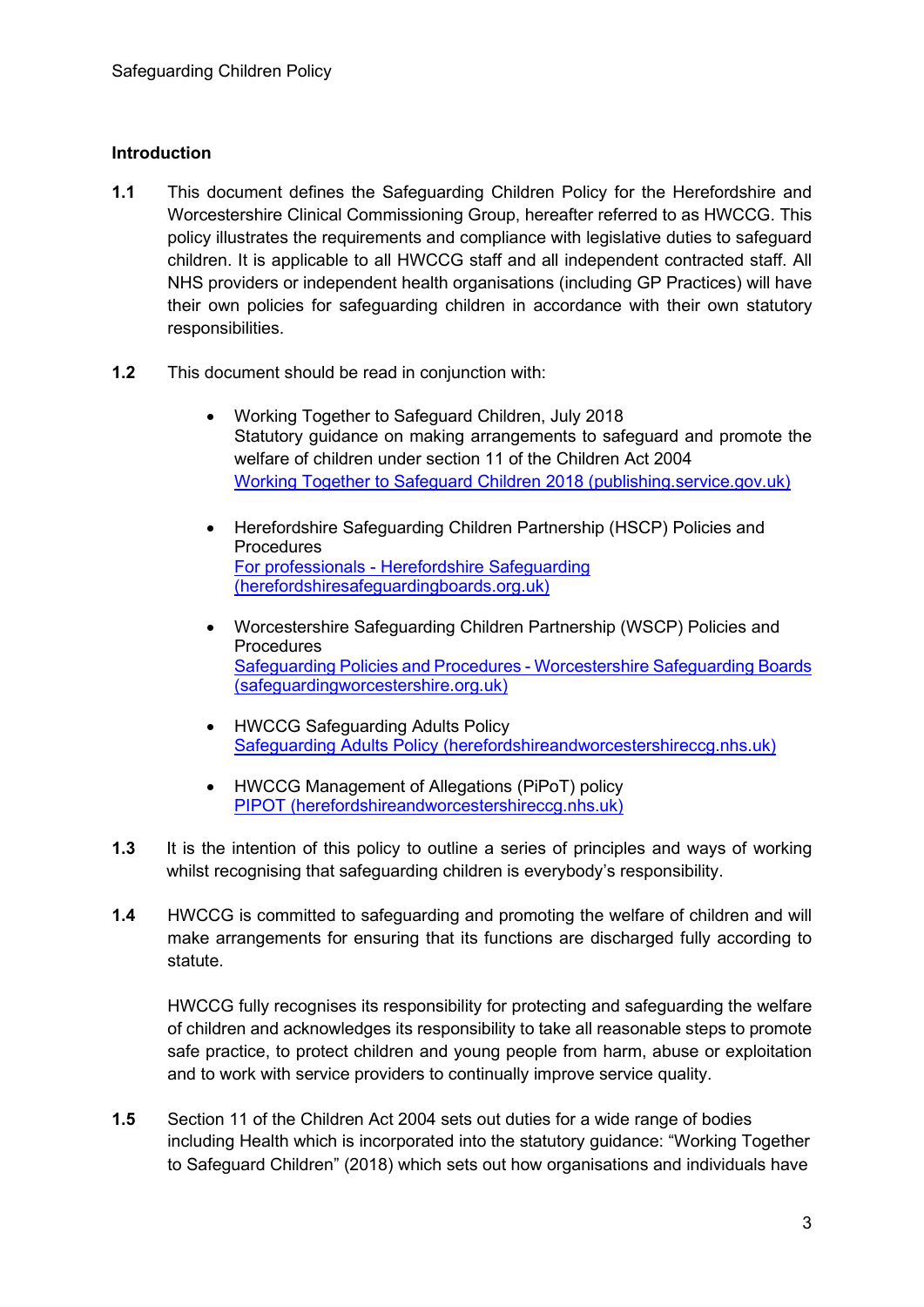#### **Introduction**

- **1.1** This document defines the Safeguarding Children Policy for the Herefordshire and Worcestershire Clinical Commissioning Group, hereafter referred to as HWCCG. This policy illustrates the requirements and compliance with legislative duties to safeguard children. It is applicable to all HWCCG staff and all independent contracted staff. All NHS providers or independent health organisations (including GP Practices) will have their own policies for safeguarding children in accordance with their own statutory responsibilities.
- **1.2** This document should be read in conjunction with:
	- Working Together to Safeguard Children, July 2018 Statutory guidance on making arrangements to safeguard and promote the welfare of children under section 11 of the Children Act 2004 [Working Together to Safeguard Children 2018 \(publishing.service.gov.uk\)](https://assets.publishing.service.gov.uk/government/uploads/system/uploads/attachment_data/file/942454/Working_together_to_safeguard_children_inter_agency_guidance.pdf)
	- Herefordshire Safeguarding Children Partnership (HSCP) Policies and **Procedures** For professionals - [Herefordshire Safeguarding](https://herefordshiresafeguardingboards.org.uk/herefordshire-safeguarding-children-partnership/for-professionals/)  [\(herefordshiresafeguardingboards.org.uk\)](https://herefordshiresafeguardingboards.org.uk/herefordshire-safeguarding-children-partnership/for-professionals/)
	- Worcestershire Safeguarding Children Partnership (WSCP) Policies and **Procedures** [Safeguarding Policies and Procedures -](https://www.safeguardingworcestershire.org.uk/wscb/professionals/safeguarding-policies-and-procedures/) Worcestershire Safeguarding Boards [\(safeguardingworcestershire.org.uk\)](https://www.safeguardingworcestershire.org.uk/wscb/professionals/safeguarding-policies-and-procedures/)
	- HWCCG Safeguarding Adults Policy [Safeguarding Adults Policy \(herefordshireandworcestershireccg.nhs.uk\)](https://herefordshireandworcestershireccg.nhs.uk/policies/safeguarding/185-hwccg-adult-safeguarding-policy/file)
	- HWCCG Management of Allegations (PiPoT) policy [PIPOT \(herefordshireandworcestershireccg.nhs.uk\)](https://herefordshireandworcestershireccg.nhs.uk/policies/safeguarding/676-policy-and-procedures-for-managing-safeguarding-allegations-against-staff-and-persons-in-position-of-trust-in-respect-of-children-young-people-and-adults-with-care-and-support-needs/file)
- **1.3** It is the intention of this policy to outline a series of principles and ways of working whilst recognising that safeguarding children is everybody's responsibility.
- **1.4** HWCCG is committed to safeguarding and promoting the welfare of children and will make arrangements for ensuring that its functions are discharged fully according to statute.

HWCCG fully recognises its responsibility for protecting and safeguarding the welfare of children and acknowledges its responsibility to take all reasonable steps to promote safe practice, to protect children and young people from harm, abuse or exploitation and to work with service providers to continually improve service quality.

**1.5** Section 11 of the Children Act 2004 sets out duties for a wide range of bodies including Health which is incorporated into the statutory guidance: "Working Together to Safeguard Children" (2018) which sets out how organisations and individuals have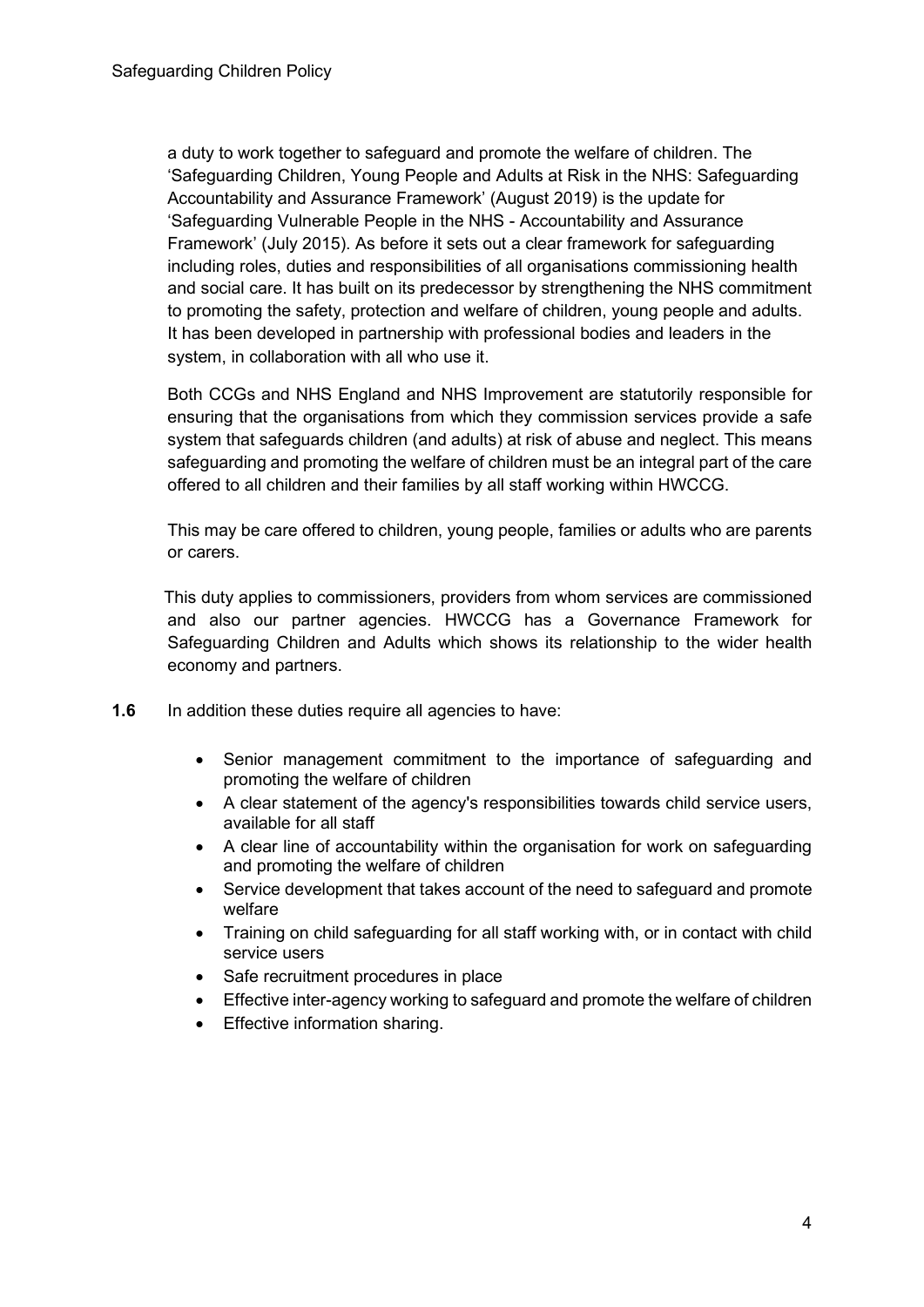a duty to work together to safeguard and promote the welfare of children. The 'Safeguarding Children, Young People and Adults at Risk in the NHS: Safeguarding Accountability and Assurance Framework' (August 2019) is the update for 'Safeguarding Vulnerable People in the NHS - Accountability and Assurance Framework' (July 2015). As before it sets out a clear framework for safeguarding including roles, duties and responsibilities of all organisations commissioning health and social care. It has built on its predecessor by strengthening the NHS commitment to promoting the safety, protection and welfare of children, young people and adults. It has been developed in partnership with professional bodies and leaders in the system, in collaboration with all who use it.

Both CCGs and NHS England and NHS Improvement are statutorily responsible for ensuring that the organisations from which they commission services provide a safe system that safeguards children (and adults) at risk of abuse and neglect. This means safeguarding and promoting the welfare of children must be an integral part of the care offered to all children and their families by all staff working within HWCCG.

This may be care offered to children, young people, families or adults who are parents or carers.

 This duty applies to commissioners, providers from whom services are commissioned and also our partner agencies. HWCCG has a Governance Framework for Safeguarding Children and Adults which shows its relationship to the wider health economy and partners.

- **1.6** In addition these duties require all agencies to have:
	- Senior management commitment to the importance of safeguarding and promoting the welfare of children
	- A clear statement of the agency's responsibilities towards child service users, available for all staff
	- A clear line of accountability within the organisation for work on safeguarding and promoting the welfare of children
	- Service development that takes account of the need to safeguard and promote welfare
	- Training on child safeguarding for all staff working with, or in contact with child service users
	- Safe recruitment procedures in place
	- Effective inter-agency working to safeguard and promote the welfare of children
	- Effective information sharing.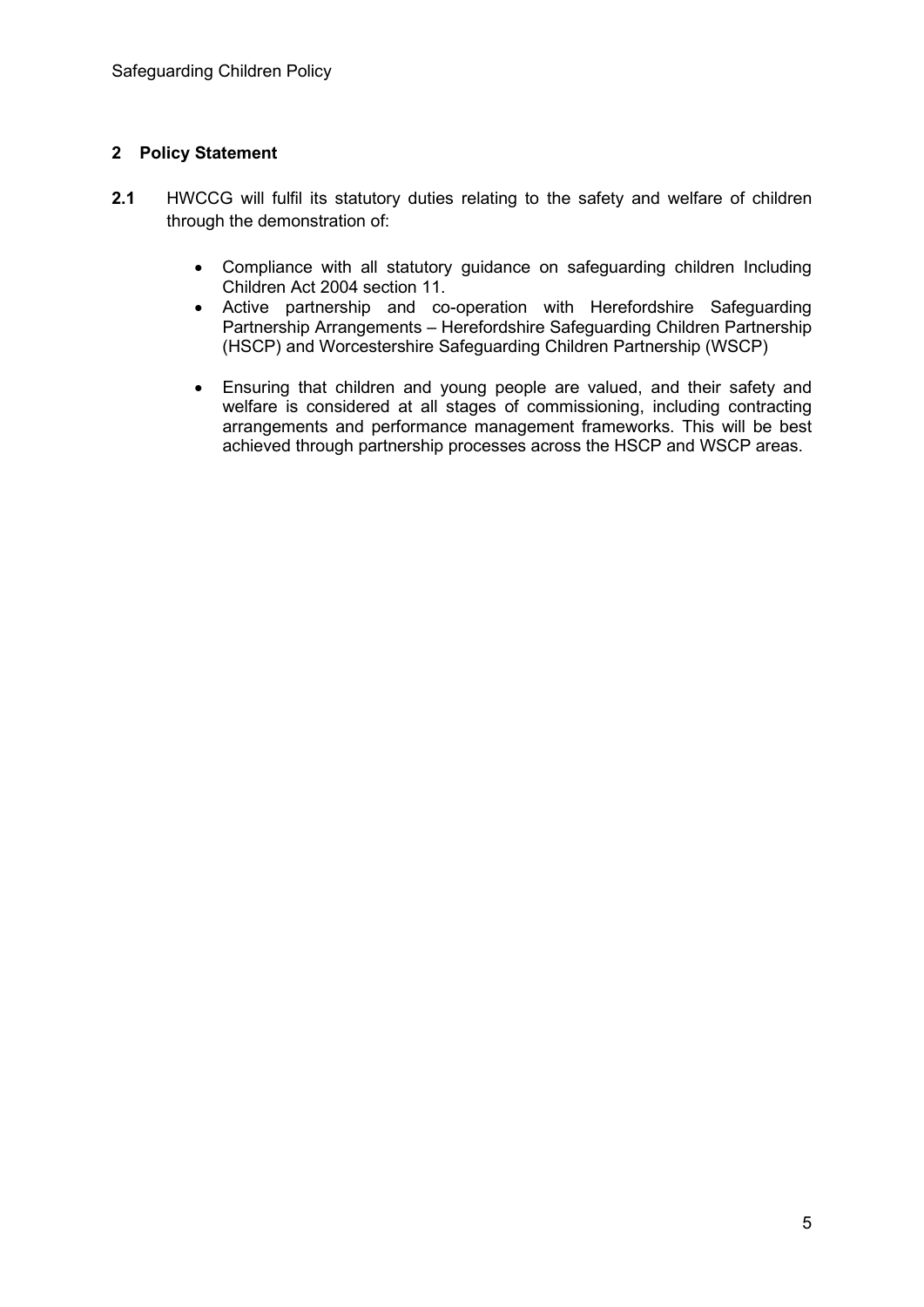#### **2 Policy Statement**

- **2.1** HWCCG will fulfil its statutory duties relating to the safety and welfare of children through the demonstration of:
	- Compliance with all statutory guidance on safeguarding children Including Children Act 2004 section 11.
	- Active partnership and co-operation with Herefordshire Safeguarding Partnership Arrangements – Herefordshire Safeguarding Children Partnership (HSCP) and Worcestershire Safeguarding Children Partnership (WSCP)
	- Ensuring that children and young people are valued, and their safety and welfare is considered at all stages of commissioning, including contracting arrangements and performance management frameworks. This will be best achieved through partnership processes across the HSCP and WSCP areas.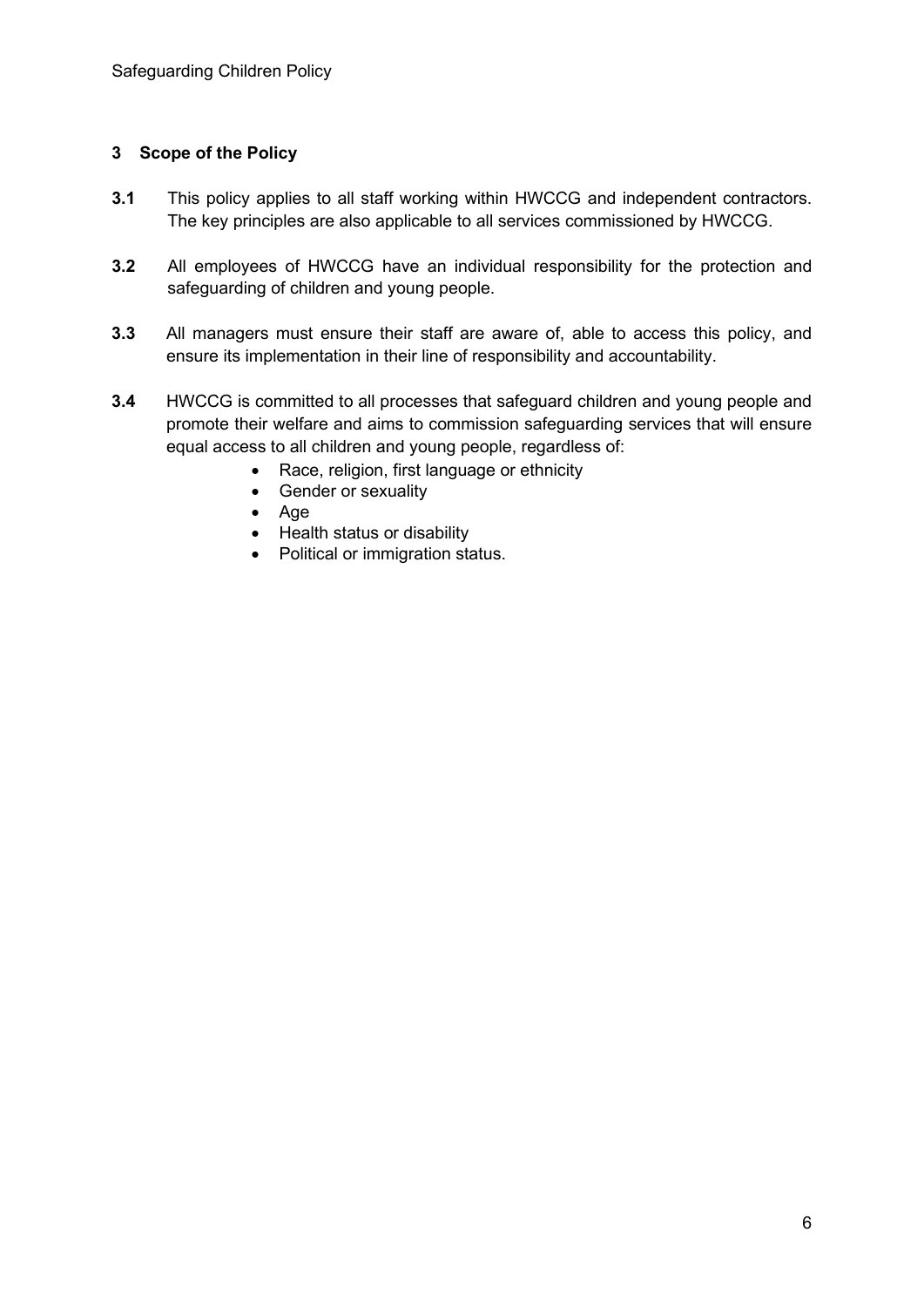#### **3 Scope of the Policy**

- **3.1** This policy applies to all staff working within HWCCG and independent contractors. The key principles are also applicable to all services commissioned by HWCCG.
- **3.2** All employees of HWCCG have an individual responsibility for the protection and safeguarding of children and young people.
- **3.3** All managers must ensure their staff are aware of, able to access this policy, and ensure its implementation in their line of responsibility and accountability.
- **3.4** HWCCG is committed to all processes that safeguard children and young people and promote their welfare and aims to commission safeguarding services that will ensure equal access to all children and young people, regardless of:
	- Race, religion, first language or ethnicity
	- Gender or sexuality
	- Age
	- Health status or disability
	- Political or immigration status.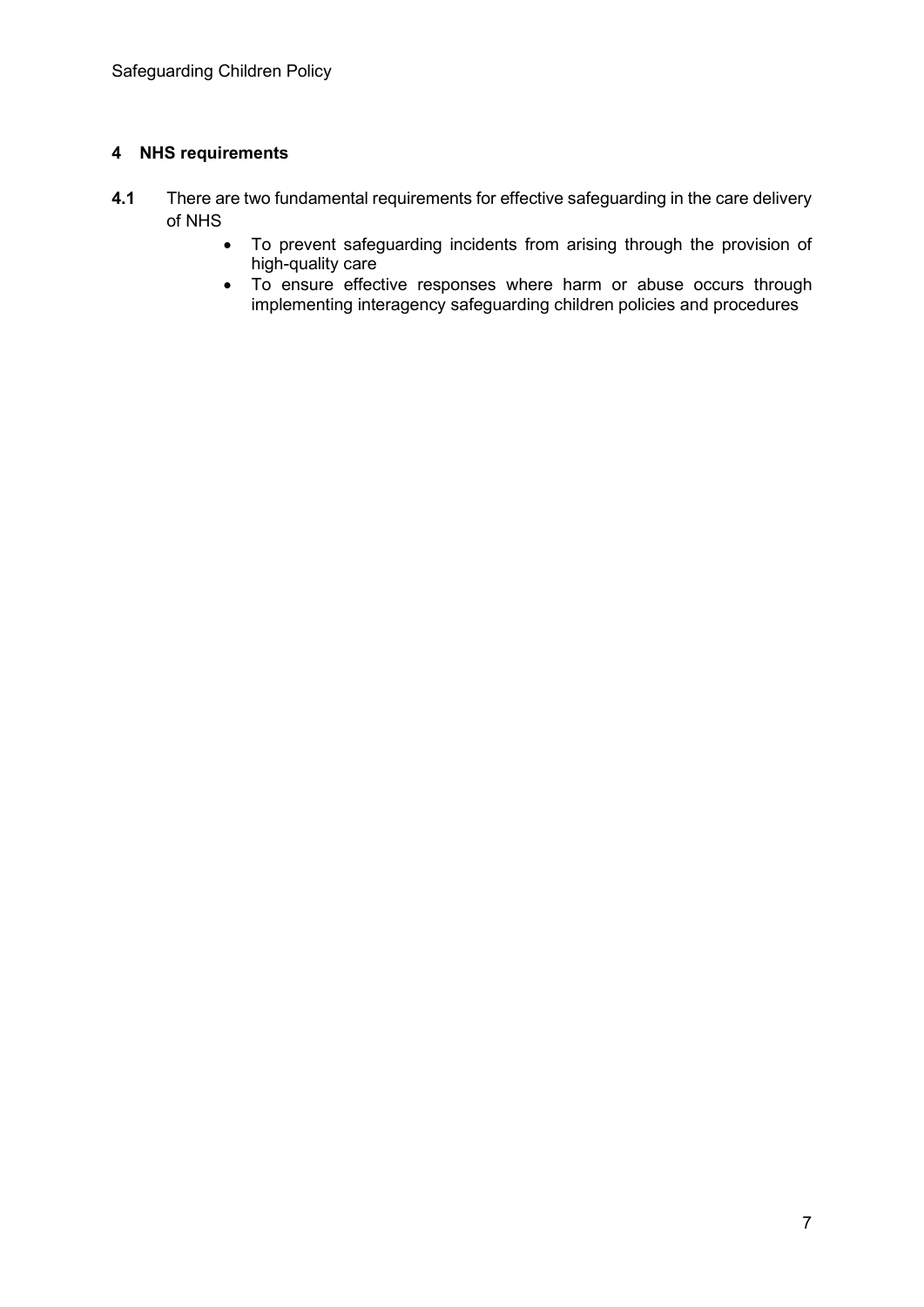#### **4 NHS requirements**

- **4.1** There are two fundamental requirements for effective safeguarding in the care delivery of NHS
	- To prevent safeguarding incidents from arising through the provision of high-quality care
	- To ensure effective responses where harm or abuse occurs through implementing interagency safeguarding children policies and procedures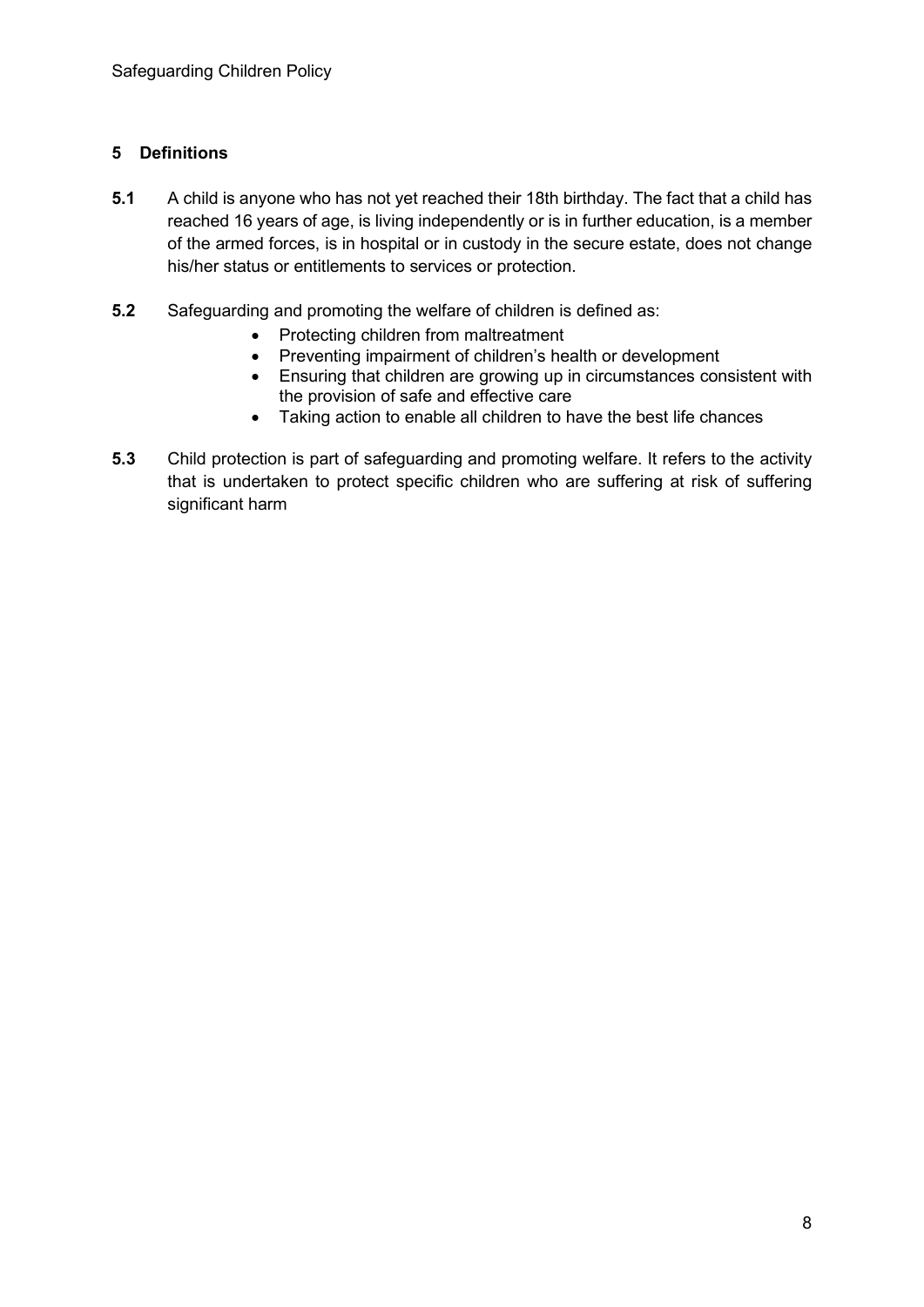#### **5 Definitions**

- **5.1** A child is anyone who has not yet reached their 18th birthday. The fact that a child has reached 16 years of age, is living independently or is in further education, is a member of the armed forces, is in hospital or in custody in the secure estate, does not change his/her status or entitlements to services or protection.
- **5.2** Safeguarding and promoting the welfare of children is defined as:
	- Protecting children from maltreatment
	- Preventing impairment of children's health or development
	- Ensuring that children are growing up in circumstances consistent with the provision of safe and effective care
	- Taking action to enable all children to have the best life chances
- **5.3** Child protection is part of safeguarding and promoting welfare. It refers to the activity that is undertaken to protect specific children who are suffering at risk of suffering significant harm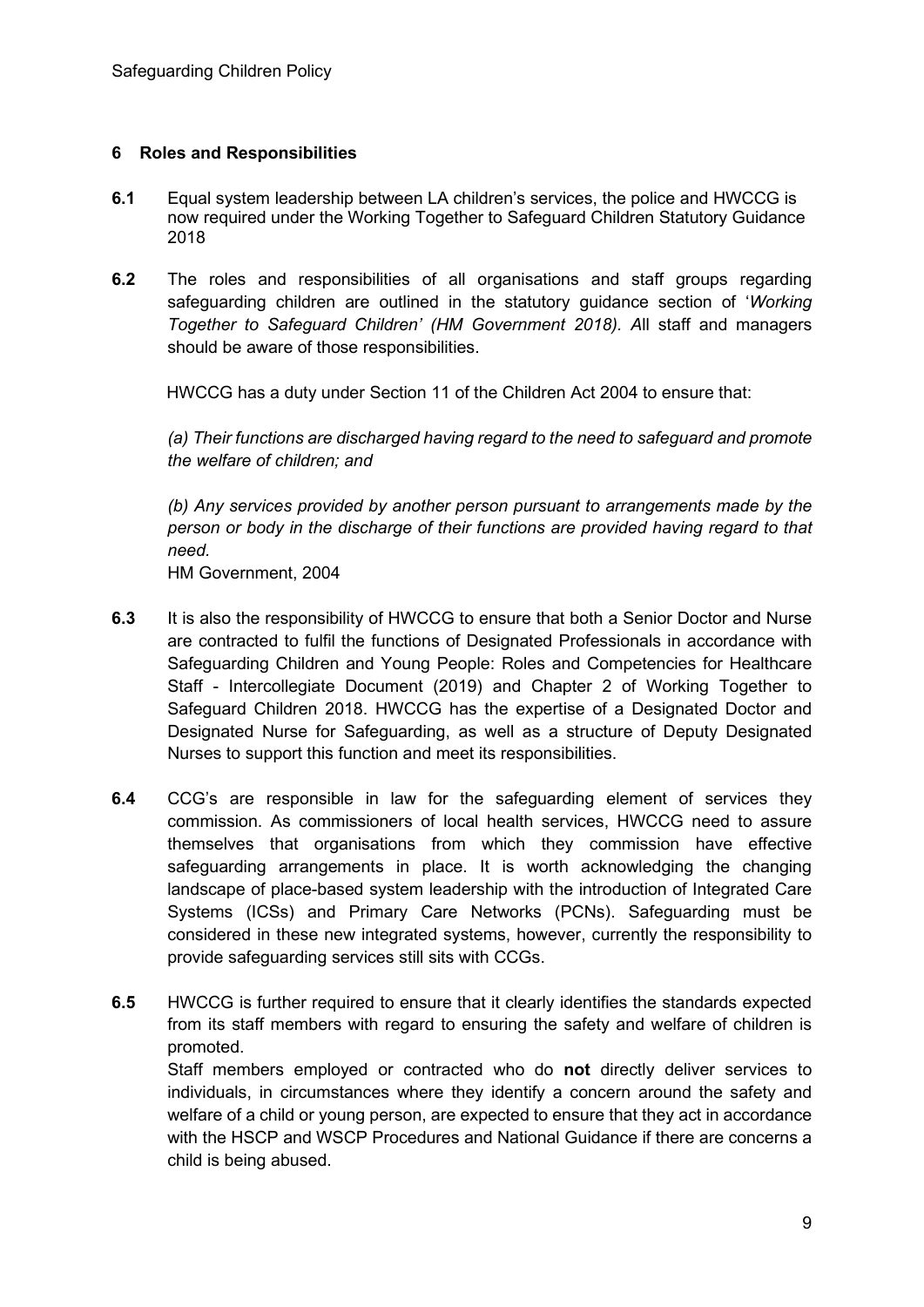#### **6 Roles and Responsibilities**

- **6.1** Equal system leadership between LA children's services, the police and HWCCG is now required under the Working Together to Safeguard Children Statutory Guidance 2018
- **6.2** The roles and responsibilities of all organisations and staff groups regarding safeguarding children are outlined in the statutory guidance section of '*Working Together to Safeguard Children' (HM Government 2018). A*ll staff and managers should be aware of those responsibilities.

HWCCG has a duty under Section 11 of the Children Act 2004 to ensure that:

*(a) Their functions are discharged having regard to the need to safeguard and promote the welfare of children; and*

*(b) Any services provided by another person pursuant to arrangements made by the person or body in the discharge of their functions are provided having regard to that need.*

HM Government, 2004

- **6.3** It is also the responsibility of HWCCG to ensure that both a Senior Doctor and Nurse are contracted to fulfil the functions of Designated Professionals in accordance with Safeguarding Children and Young People: Roles and Competencies for Healthcare Staff - Intercollegiate Document (2019) and Chapter 2 of Working Together to Safeguard Children 2018. HWCCG has the expertise of a Designated Doctor and Designated Nurse for Safeguarding, as well as a structure of Deputy Designated Nurses to support this function and meet its responsibilities.
- **6.4** CCG's are responsible in law for the safeguarding element of services they commission. As commissioners of local health services, HWCCG need to assure themselves that organisations from which they commission have effective safeguarding arrangements in place. It is worth acknowledging the changing landscape of place-based system leadership with the introduction of Integrated Care Systems (ICSs) and Primary Care Networks (PCNs). Safeguarding must be considered in these new integrated systems, however, currently the responsibility to provide safeguarding services still sits with CCGs.
- **6.5** HWCCG is further required to ensure that it clearly identifies the standards expected from its staff members with regard to ensuring the safety and welfare of children is promoted. Staff members employed or contracted who do **not** directly deliver services to individuals, in circumstances where they identify a concern around the safety and welfare of a child or young person, are expected to ensure that they act in accordance with the HSCP and WSCP Procedures and National Guidance if there are concerns a child is being abused.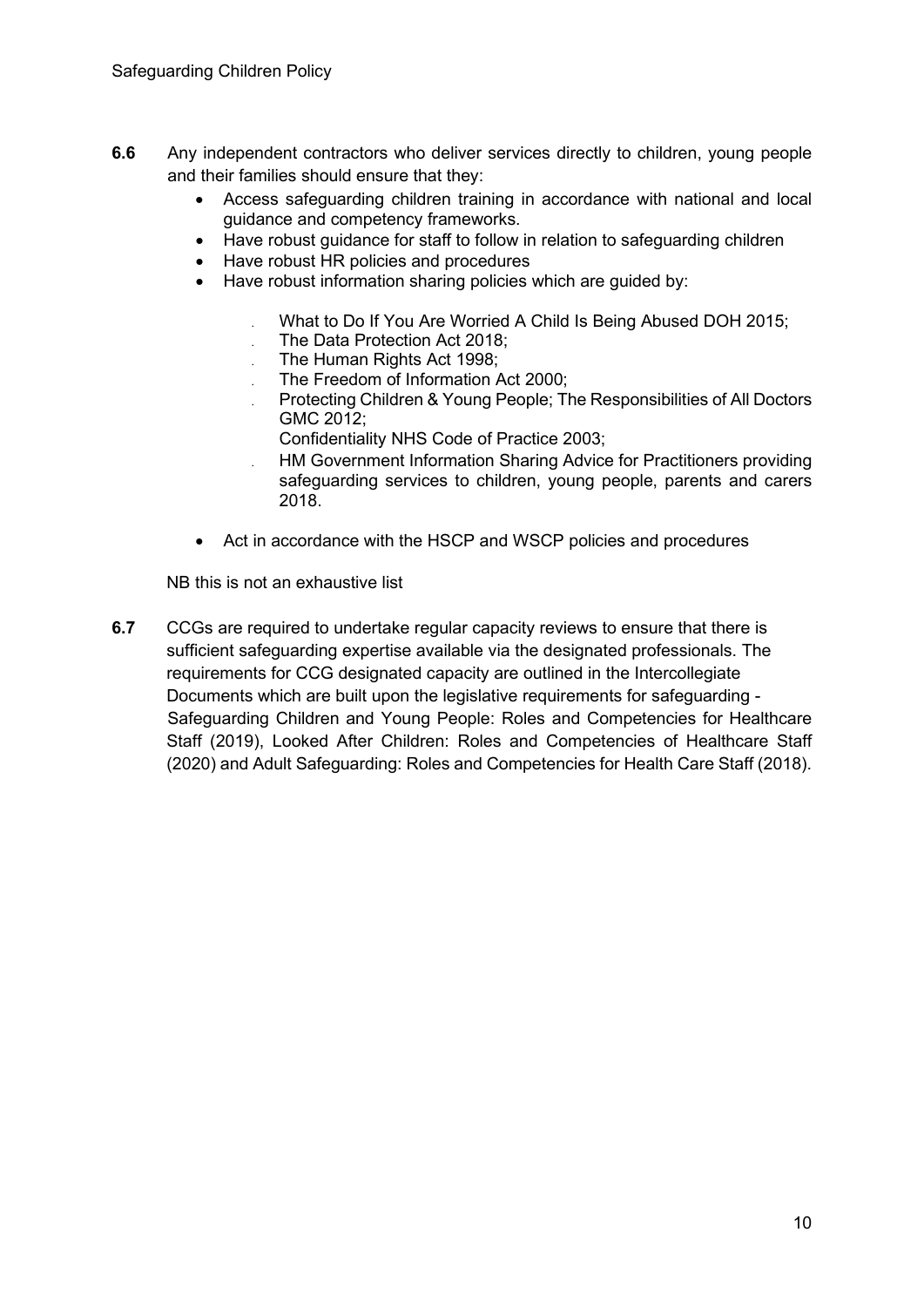- **6.6** Any independent contractors who deliver services directly to children, young people and their families should ensure that they:
	- Access safeguarding children training in accordance with national and local guidance and competency frameworks.
	- Have robust guidance for staff to follow in relation to safeguarding children
	- Have robust HR policies and procedures
	- Have robust information sharing policies which are quided by:
		- . What to Do If You Are Worried A Child Is Being Abused DOH 2015;
		- . The Data Protection Act 2018;
		- . The Human Rights Act 1998;
		- . The Freedom of Information Act 2000;
		- . Protecting Children & Young People; The Responsibilities of All Doctors GMC 2012;
			- Confidentiality NHS Code of Practice 2003;
		- . HM Government Information Sharing Advice for Practitioners providing safeguarding services to children, young people, parents and carers 2018.
	- Act in accordance with the HSCP and WSCP policies and procedures

NB this is not an exhaustive list

**6.7** CCGs are required to undertake regular capacity reviews to ensure that there is sufficient safeguarding expertise available via the designated professionals. The requirements for CCG designated capacity are outlined in the Intercollegiate Documents which are built upon the legislative requirements for safeguarding - Safeguarding Children and Young People: Roles and Competencies for Healthcare Staff (2019), Looked After Children: Roles and Competencies of Healthcare Staff (2020) and Adult Safeguarding: Roles and Competencies for Health Care Staff (2018).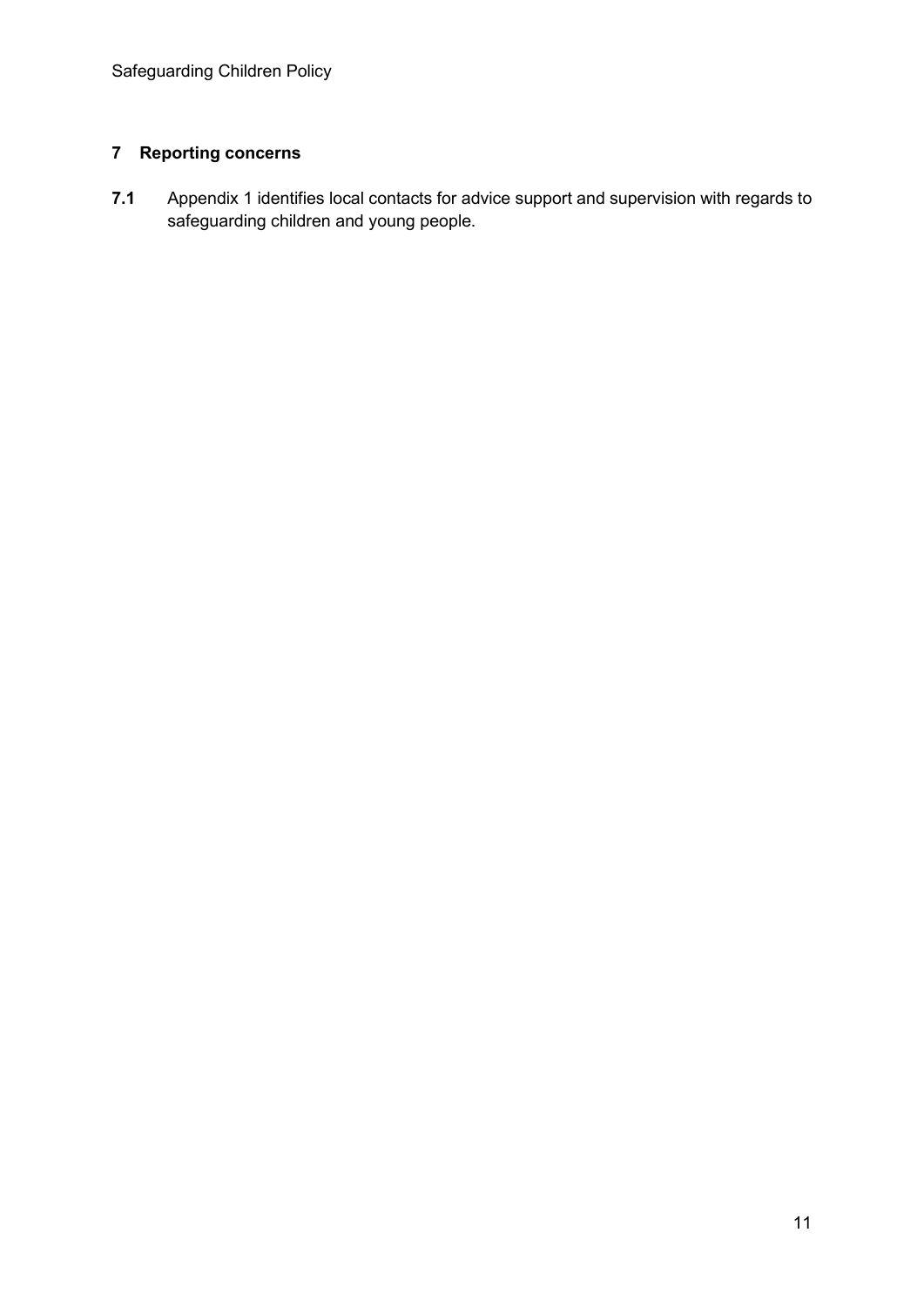### **7 Reporting concerns**

**7.1** Appendix 1 identifies local contacts for advice support and supervision with regards to safeguarding children and young people.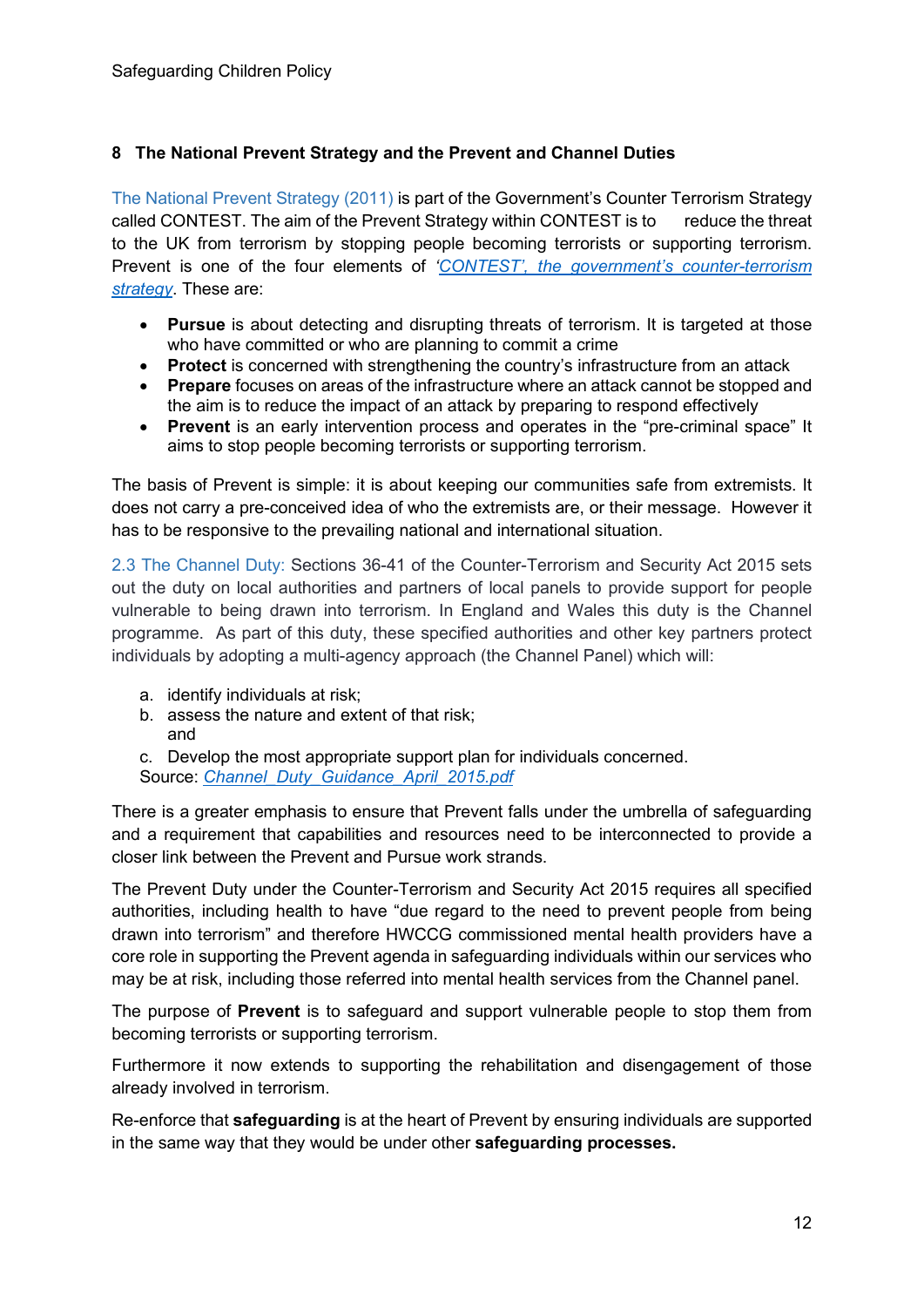#### **8 The National Prevent Strategy and the Prevent and Channel Duties**

The National Prevent Strategy (2011) is part of the Government's Counter Terrorism Strategy called CONTEST. The aim of the Prevent Strategy within CONTEST is to reduce the threat to the UK from terrorism by stopping people becoming terrorists or supporting terrorism. Prevent is one of the four elements of *['CONTEST', the government's counter-terrorism](https://www.gov.uk/government/publications/counter-terrorism-strategy-contest)  [strategy](https://www.gov.uk/government/publications/counter-terrorism-strategy-contest)*. These are:

- **Pursue** is about detecting and disrupting threats of terrorism. It is targeted at those who have committed or who are planning to commit a crime
- **Protect** is concerned with strengthening the country's infrastructure from an attack
- **Prepare** focuses on areas of the infrastructure where an attack cannot be stopped and the aim is to reduce the impact of an attack by preparing to respond effectively
- **Prevent** is an early intervention process and operates in the "pre-criminal space" It aims to stop people becoming terrorists or supporting terrorism.

The basis of Prevent is simple: it is about keeping our communities safe from extremists. It does not carry a pre-conceived idea of who the extremists are, or their message. However it has to be responsive to the prevailing national and international situation.

2.3 The Channel Duty: Sections 36-41 of the Counter-Terrorism and Security Act 2015 sets out the duty on local authorities and partners of local panels to provide support for people vulnerable to being drawn into terrorism. In England and Wales this duty is the Channel programme. As part of this duty, these specified authorities and other key partners protect individuals by adopting a multi-agency approach (the Channel Panel) which will:

- a. identify individuals at risk;
- b. assess the nature and extent of that risk; and

c. Develop the most appropriate support plan for individuals concerned. Source: *[Channel\\_Duty\\_Guidance\\_April\\_2015.pdf](https://www.gov.uk/government/uploads/system/uploads/attachment_data/file/425189/Channel_Duty_Guidance_April_2015.pdf)*

There is a greater emphasis to ensure that Prevent falls under the umbrella of safeguarding and a requirement that capabilities and resources need to be interconnected to provide a closer link between the Prevent and Pursue work strands.

The Prevent Duty under the Counter-Terrorism and Security Act 2015 requires all specified authorities, including health to have "due regard to the need to prevent people from being drawn into terrorism" and therefore HWCCG commissioned mental health providers have a core role in supporting the Prevent agenda in safeguarding individuals within our services who may be at risk, including those referred into mental health services from the Channel panel.

The purpose of **Prevent** is to safeguard and support vulnerable people to stop them from becoming terrorists or supporting terrorism.

Furthermore it now extends to supporting the rehabilitation and disengagement of those already involved in terrorism.

Re-enforce that **safeguarding** is at the heart of Prevent by ensuring individuals are supported in the same way that they would be under other **safeguarding processes.**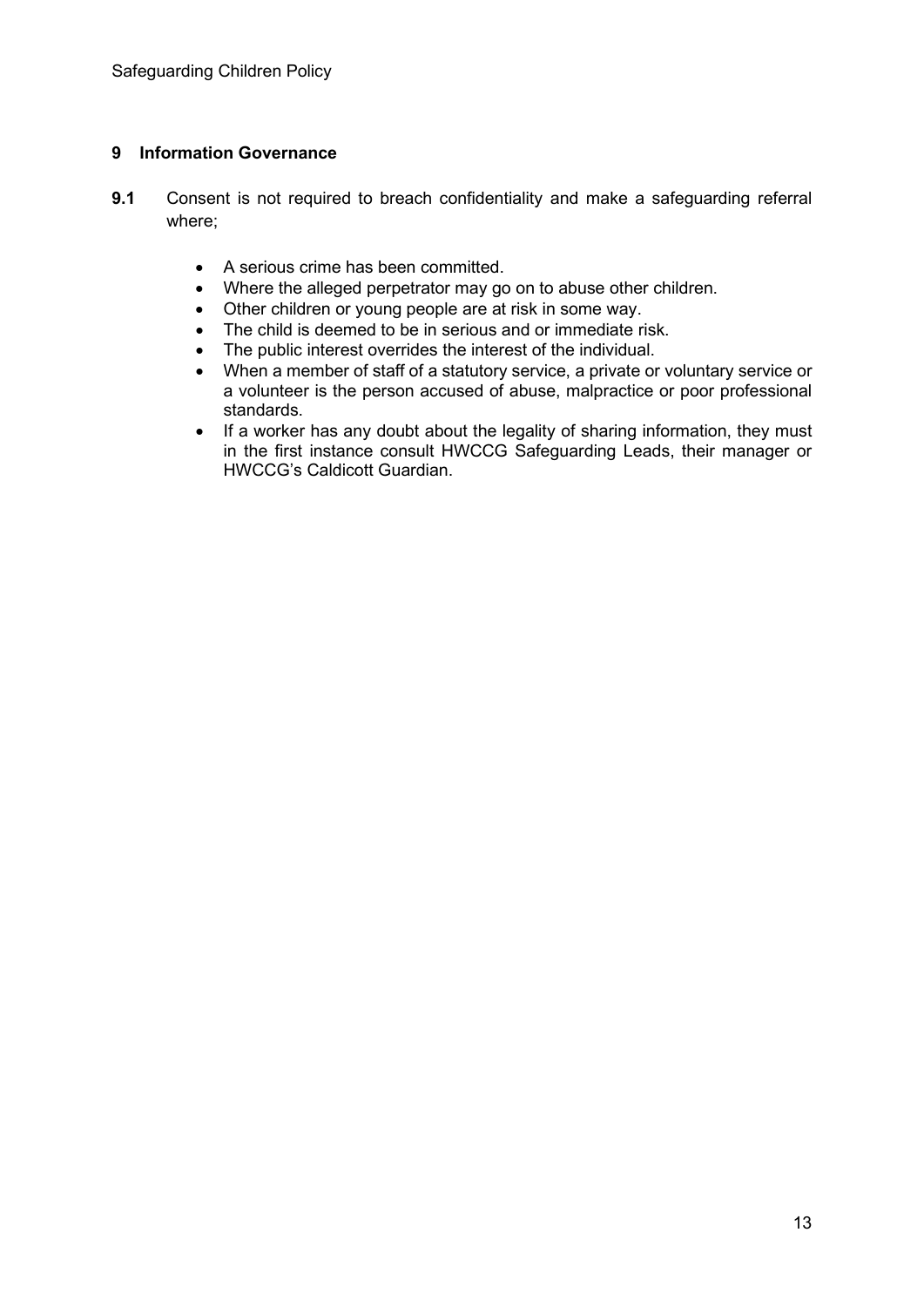#### **9 Information Governance**

- **9.1** Consent is not required to breach confidentiality and make a safeguarding referral where;
	- A serious crime has been committed.
	- Where the alleged perpetrator may go on to abuse other children.
	- Other children or young people are at risk in some way.
	- The child is deemed to be in serious and or immediate risk.
	- The public interest overrides the interest of the individual.
	- When a member of staff of a statutory service, a private or voluntary service or a volunteer is the person accused of abuse, malpractice or poor professional standards.
	- If a worker has any doubt about the legality of sharing information, they must in the first instance consult HWCCG Safeguarding Leads, their manager or HWCCG's Caldicott Guardian.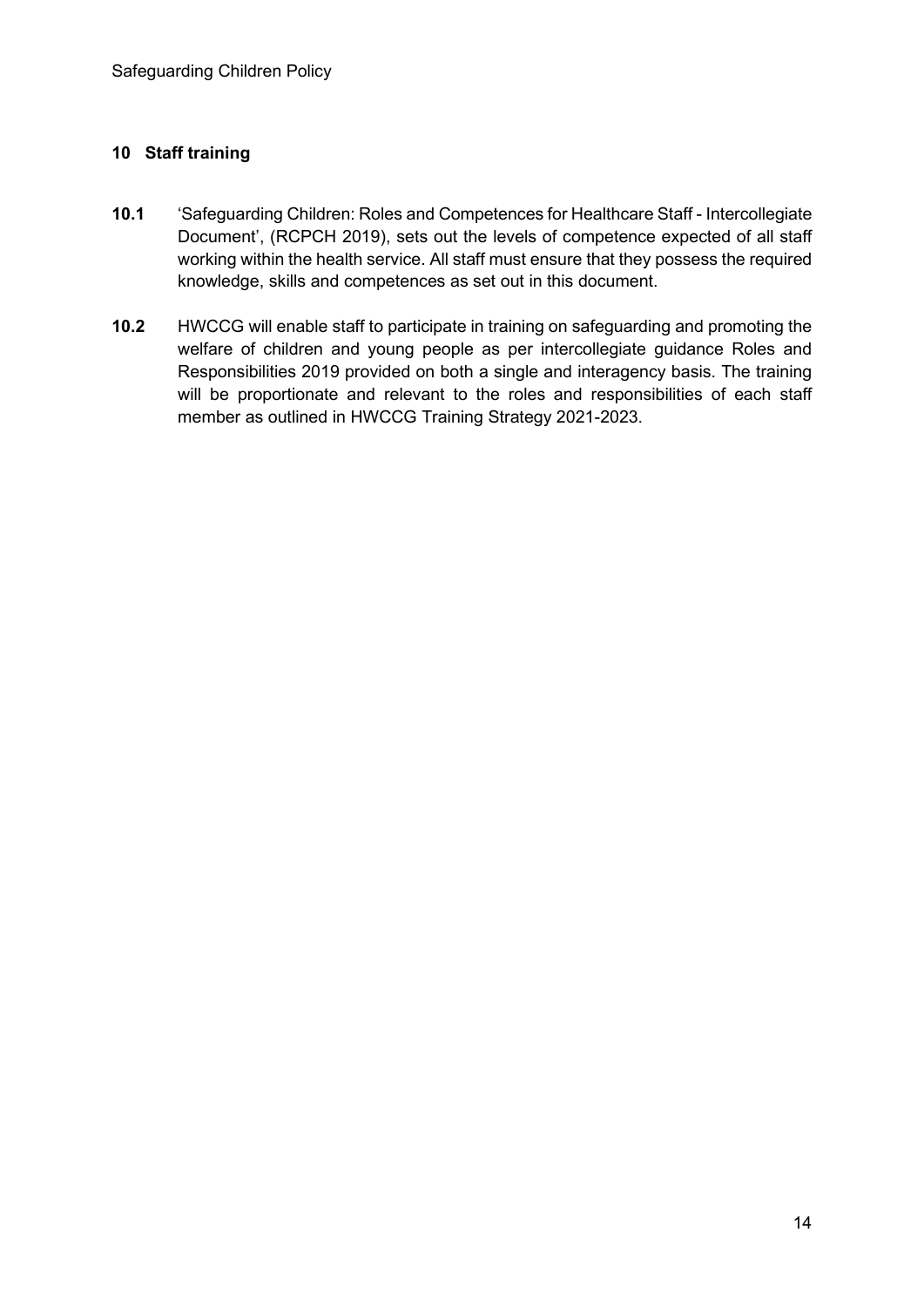#### **10 Staff training**

- **10.1** 'Safeguarding Children: Roles and Competences for Healthcare Staff Intercollegiate Document', (RCPCH 2019), sets out the levels of competence expected of all staff working within the health service. All staff must ensure that they possess the required knowledge, skills and competences as set out in this document.
- **10.2** HWCCG will enable staff to participate in training on safeguarding and promoting the welfare of children and young people as per intercollegiate guidance Roles and Responsibilities 2019 provided on both a single and interagency basis. The training will be proportionate and relevant to the roles and responsibilities of each staff member as outlined in HWCCG Training Strategy 2021-2023.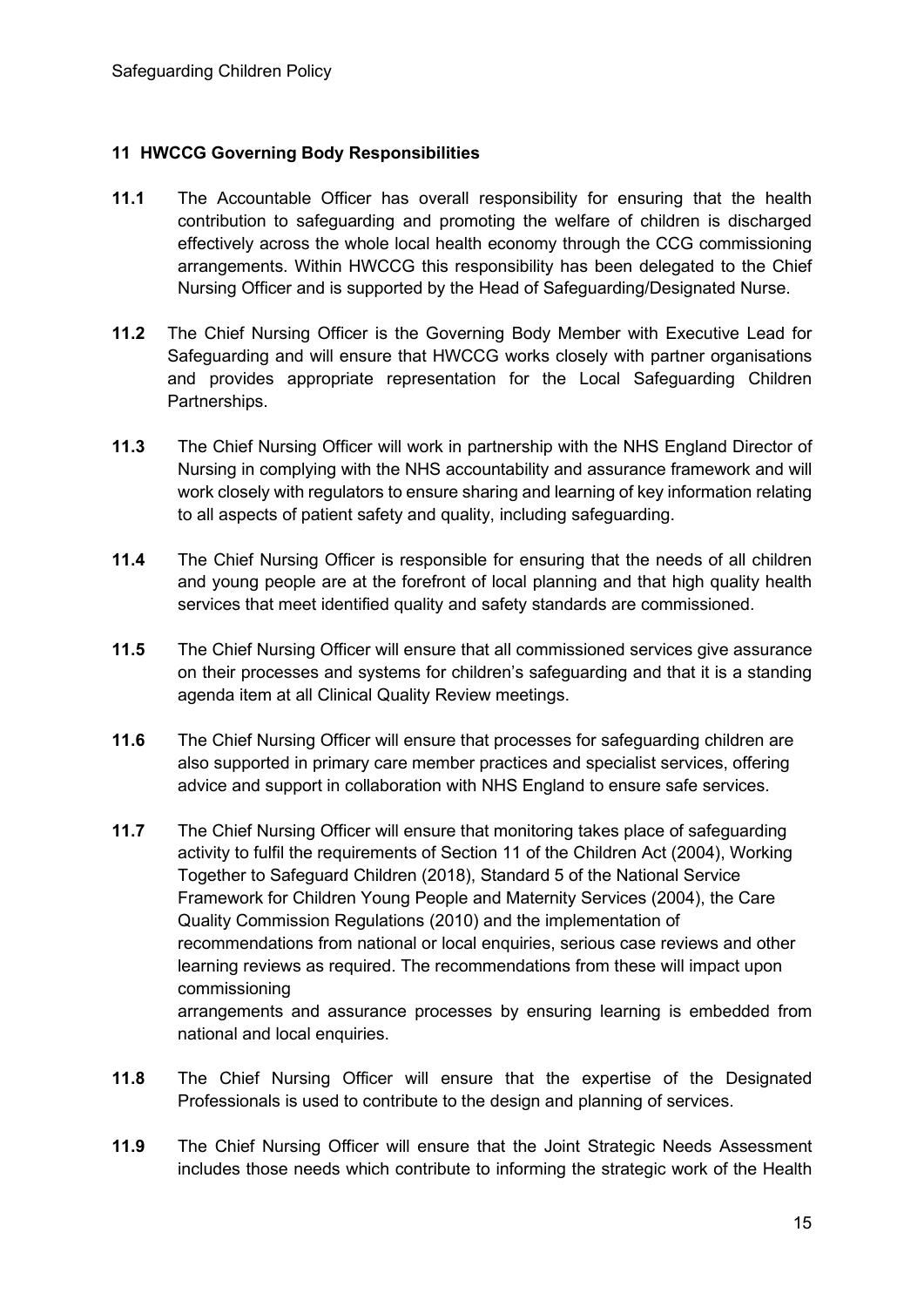#### **11 HWCCG Governing Body Responsibilities**

- **11.1** The Accountable Officer has overall responsibility for ensuring that the health contribution to safeguarding and promoting the welfare of children is discharged effectively across the whole local health economy through the CCG commissioning arrangements. Within HWCCG this responsibility has been delegated to the Chief Nursing Officer and is supported by the Head of Safeguarding/Designated Nurse.
- **11.2** The Chief Nursing Officer is the Governing Body Member with Executive Lead for Safeguarding and will ensure that HWCCG works closely with partner organisations and provides appropriate representation for the Local Safeguarding Children Partnerships.
- **11.3** The Chief Nursing Officer will work in partnership with the NHS England Director of Nursing in complying with the NHS accountability and assurance framework and will work closely with regulators to ensure sharing and learning of key information relating to all aspects of patient safety and quality, including safeguarding.
- **11.4** The Chief Nursing Officer is responsible for ensuring that the needs of all children and young people are at the forefront of local planning and that high quality health services that meet identified quality and safety standards are commissioned.
- **11.5** The Chief Nursing Officer will ensure that all commissioned services give assurance on their processes and systems for children's safeguarding and that it is a standing agenda item at all Clinical Quality Review meetings.
- **11.6** The Chief Nursing Officer will ensure that processes for safeguarding children are also supported in primary care member practices and specialist services, offering advice and support in collaboration with NHS England to ensure safe services.
- **11.7** The Chief Nursing Officer will ensure that monitoring takes place of safeguarding activity to fulfil the requirements of Section 11 of the Children Act (2004), Working Together to Safeguard Children (2018), Standard 5 of the National Service Framework for Children Young People and Maternity Services (2004), the Care Quality Commission Regulations (2010) and the implementation of recommendations from national or local enquiries, serious case reviews and other learning reviews as required. The recommendations from these will impact upon commissioning arrangements and assurance processes by ensuring learning is embedded from national and local enquiries.
- **11.8** The Chief Nursing Officer will ensure that the expertise of the Designated Professionals is used to contribute to the design and planning of services.
- **11.9** The Chief Nursing Officer will ensure that the Joint Strategic Needs Assessment includes those needs which contribute to informing the strategic work of the Health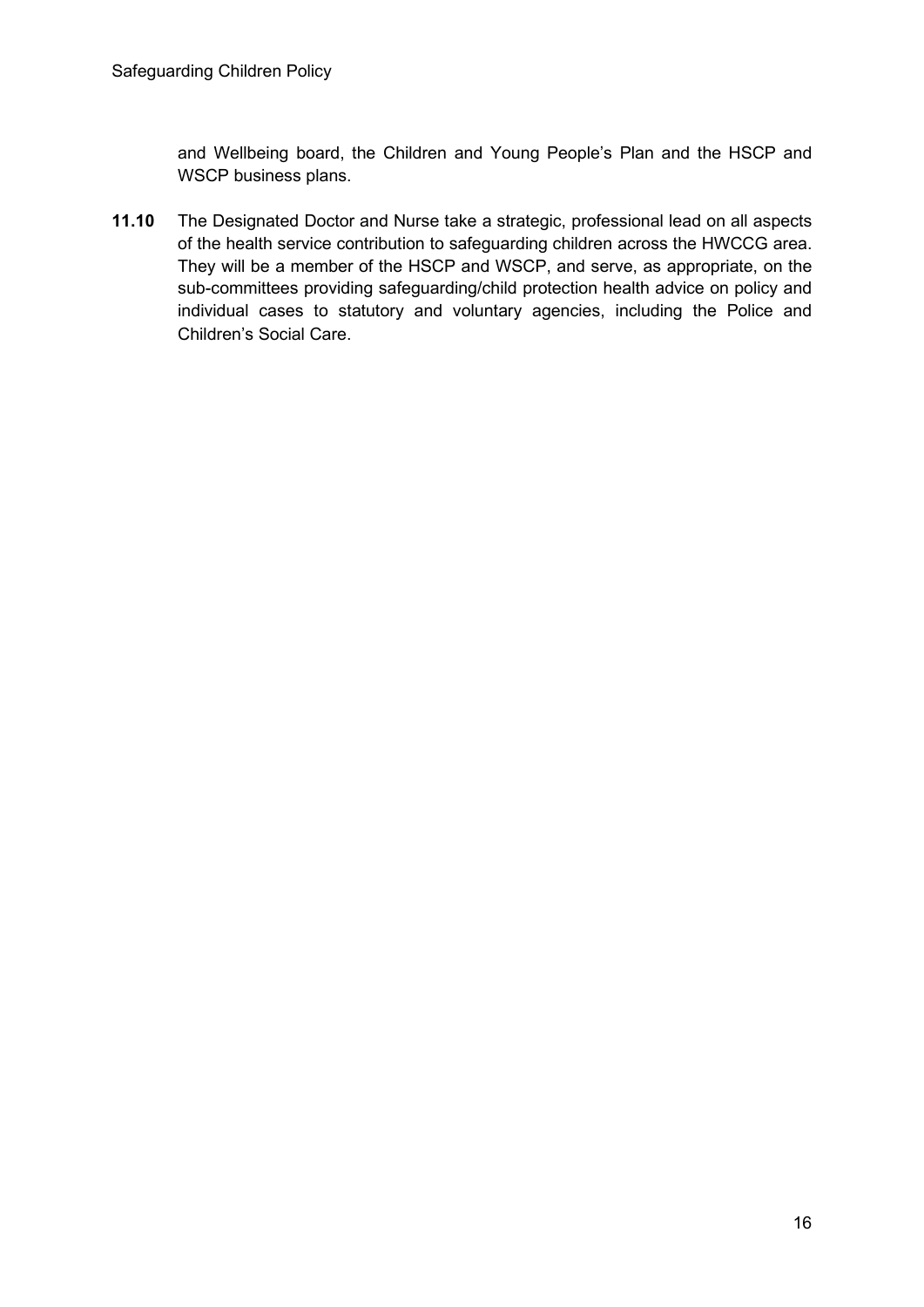and Wellbeing board, the Children and Young People's Plan and the HSCP and WSCP business plans.

**11.10** The Designated Doctor and Nurse take a strategic, professional lead on all aspects of the health service contribution to safeguarding children across the HWCCG area. They will be a member of the HSCP and WSCP, and serve, as appropriate, on the sub-committees providing safeguarding/child protection health advice on policy and individual cases to statutory and voluntary agencies, including the Police and Children's Social Care.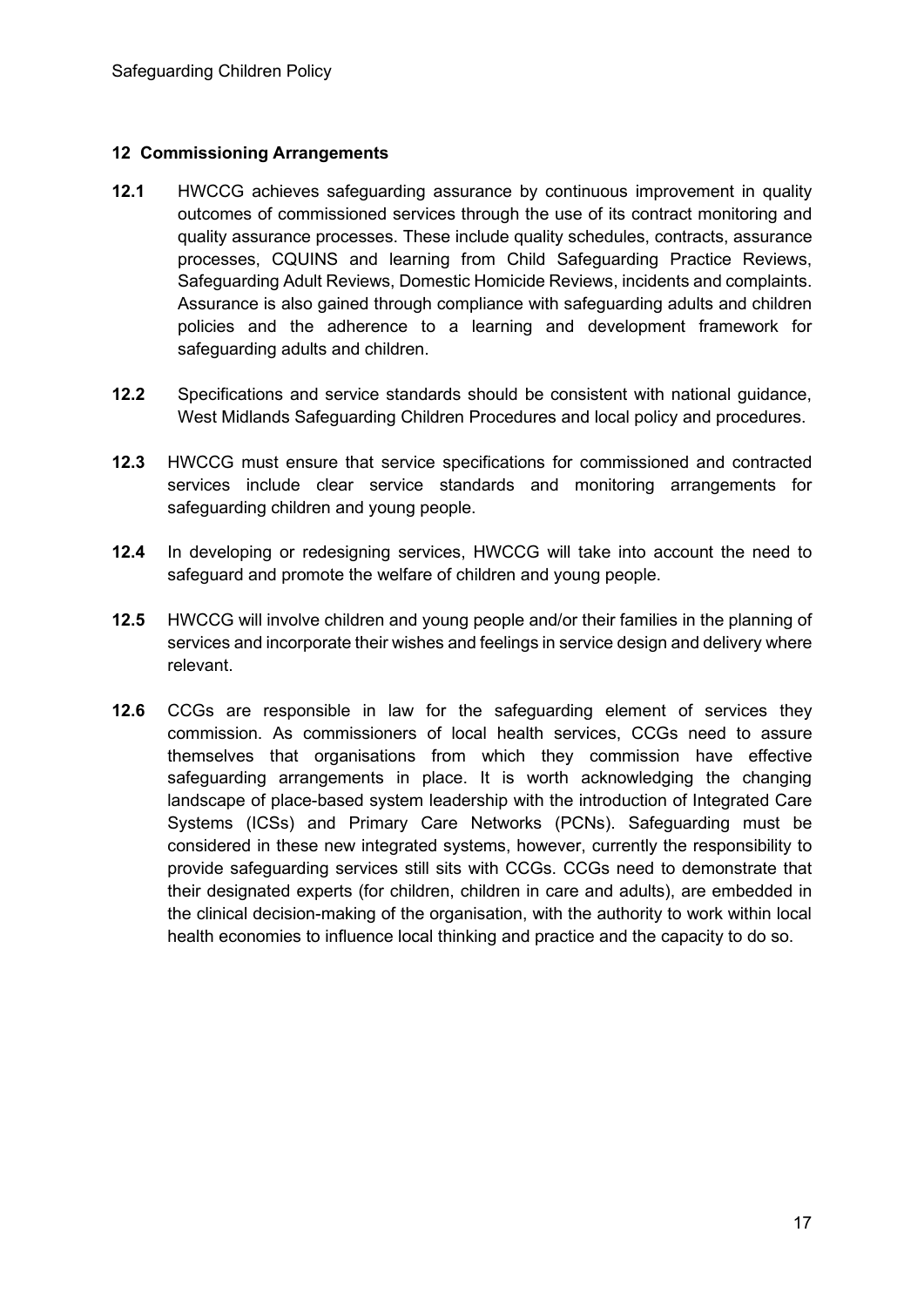#### **12 Commissioning Arrangements**

- **12.1** HWCCG achieves safeguarding assurance by continuous improvement in quality outcomes of commissioned services through the use of its contract monitoring and quality assurance processes. These include quality schedules, contracts, assurance processes, CQUINS and learning from Child Safeguarding Practice Reviews, Safeguarding Adult Reviews, Domestic Homicide Reviews, incidents and complaints. Assurance is also gained through compliance with safeguarding adults and children policies and the adherence to a learning and development framework for safeguarding adults and children.
- **12.2** Specifications and service standards should be consistent with national guidance, West Midlands Safeguarding Children Procedures and local policy and procedures.
- **12.3** HWCCG must ensure that service specifications for commissioned and contracted services include clear service standards and monitoring arrangements for safeguarding children and young people.
- **12.4** In developing or redesigning services, HWCCG will take into account the need to safeguard and promote the welfare of children and young people.
- **12.5** HWCCG will involve children and young people and/or their families in the planning of services and incorporate their wishes and feelings in service design and delivery where relevant.
- **12.6** CCGs are responsible in law for the safeguarding element of services they commission. As commissioners of local health services, CCGs need to assure themselves that organisations from which they commission have effective safeguarding arrangements in place. It is worth acknowledging the changing landscape of place-based system leadership with the introduction of Integrated Care Systems (ICSs) and Primary Care Networks (PCNs). Safeguarding must be considered in these new integrated systems, however, currently the responsibility to provide safeguarding services still sits with CCGs. CCGs need to demonstrate that their designated experts (for children, children in care and adults), are embedded in the clinical decision-making of the organisation, with the authority to work within local health economies to influence local thinking and practice and the capacity to do so.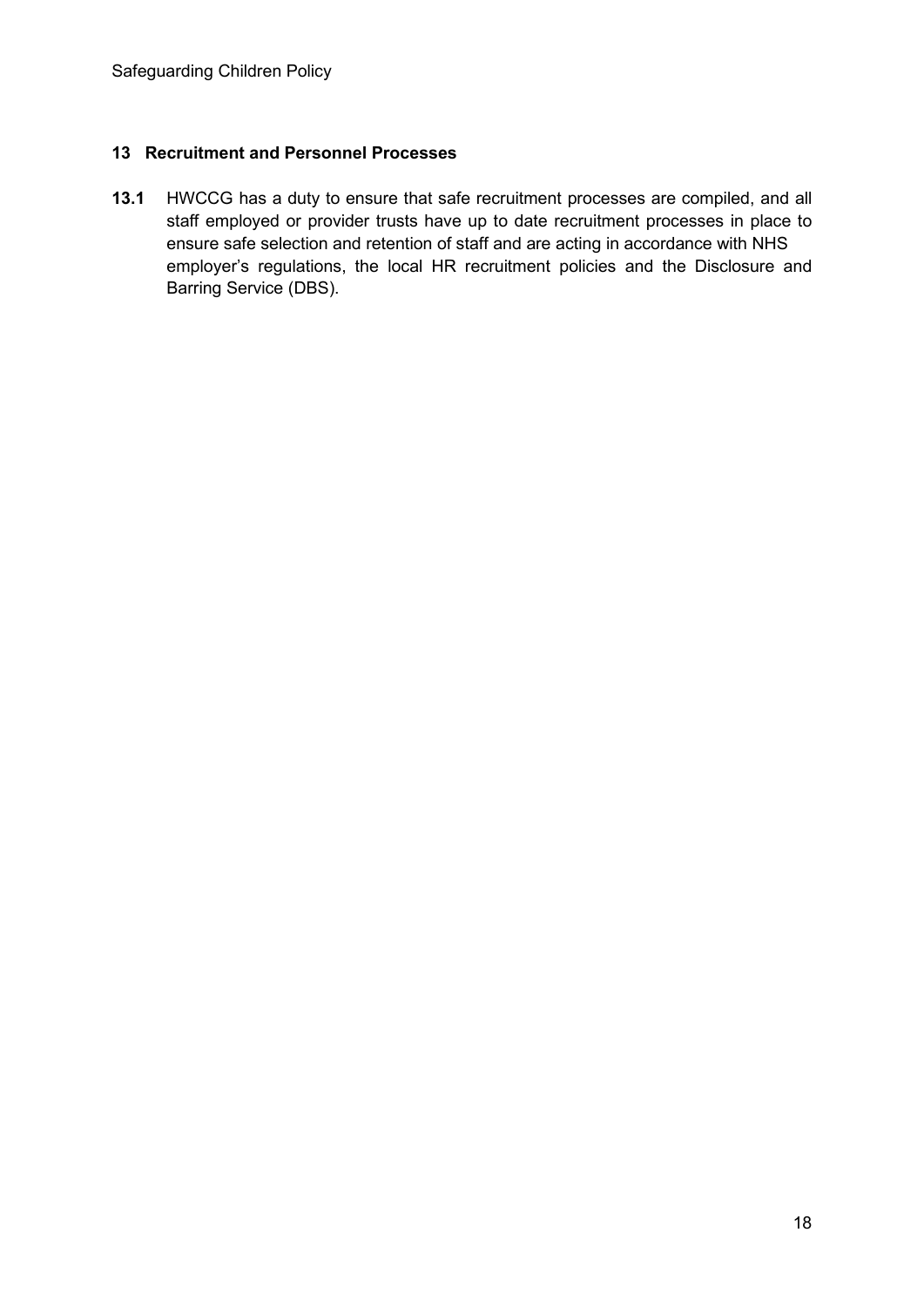#### **13 Recruitment and Personnel Processes**

**13.1** HWCCG has a duty to ensure that safe recruitment processes are compiled, and all staff employed or provider trusts have up to date recruitment processes in place to ensure safe selection and retention of staff and are acting in accordance with NHS employer's regulations, the local HR recruitment policies and the Disclosure and Barring Service (DBS).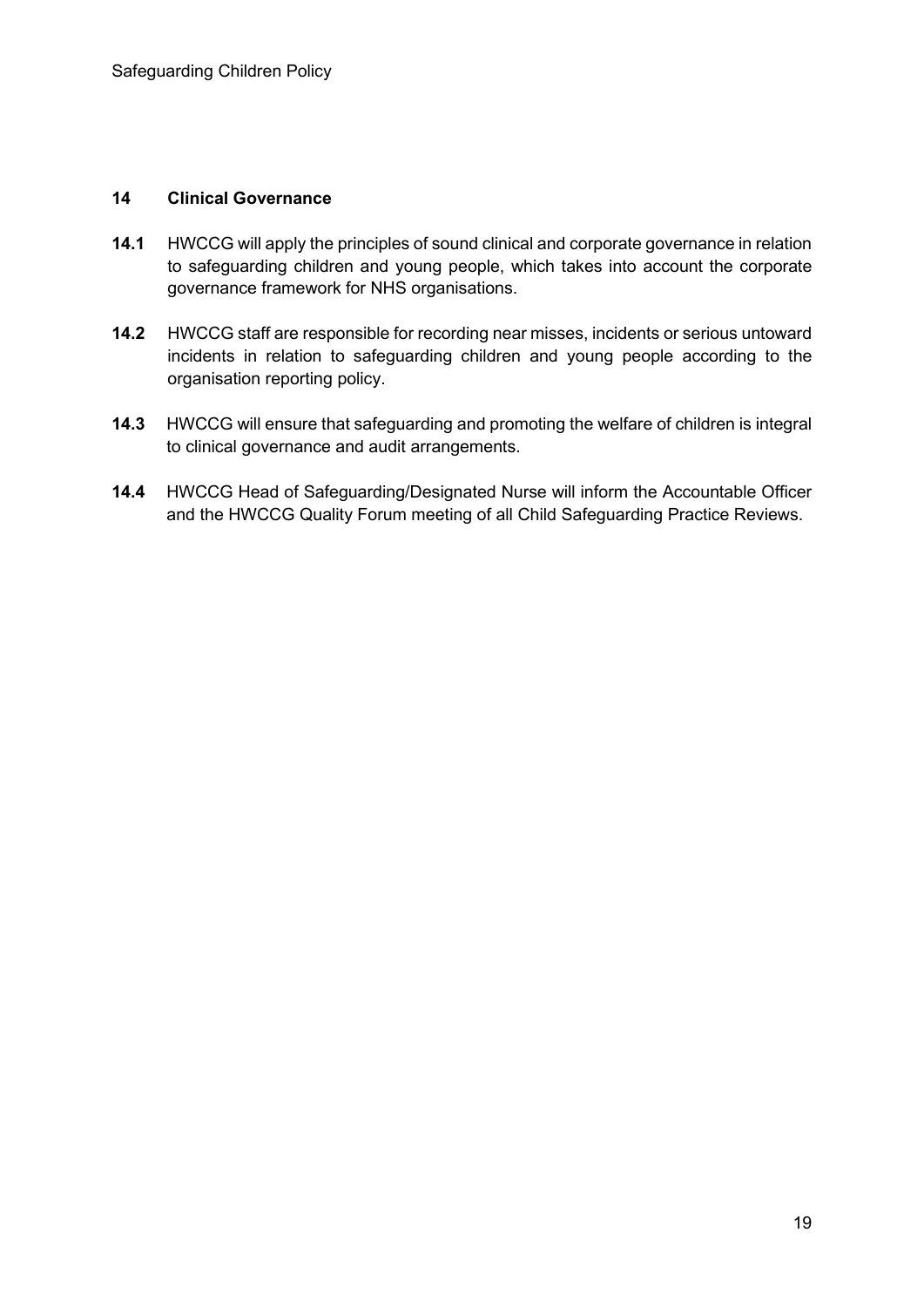#### **14 Clinical Governance**

- **14.1** HWCCG will apply the principles of sound clinical and corporate governance in relation to safeguarding children and young people, which takes into account the corporate governance framework for NHS organisations.
- **14.2** HWCCG staff are responsible for recording near misses, incidents or serious untoward incidents in relation to safeguarding children and young people according to the organisation reporting policy.
- **14.3** HWCCG will ensure that safeguarding and promoting the welfare of children is integral to clinical governance and audit arrangements.
- **14.4** HWCCG Head of Safeguarding/Designated Nurse will inform the Accountable Officer and the HWCCG Quality Forum meeting of all Child Safeguarding Practice Reviews.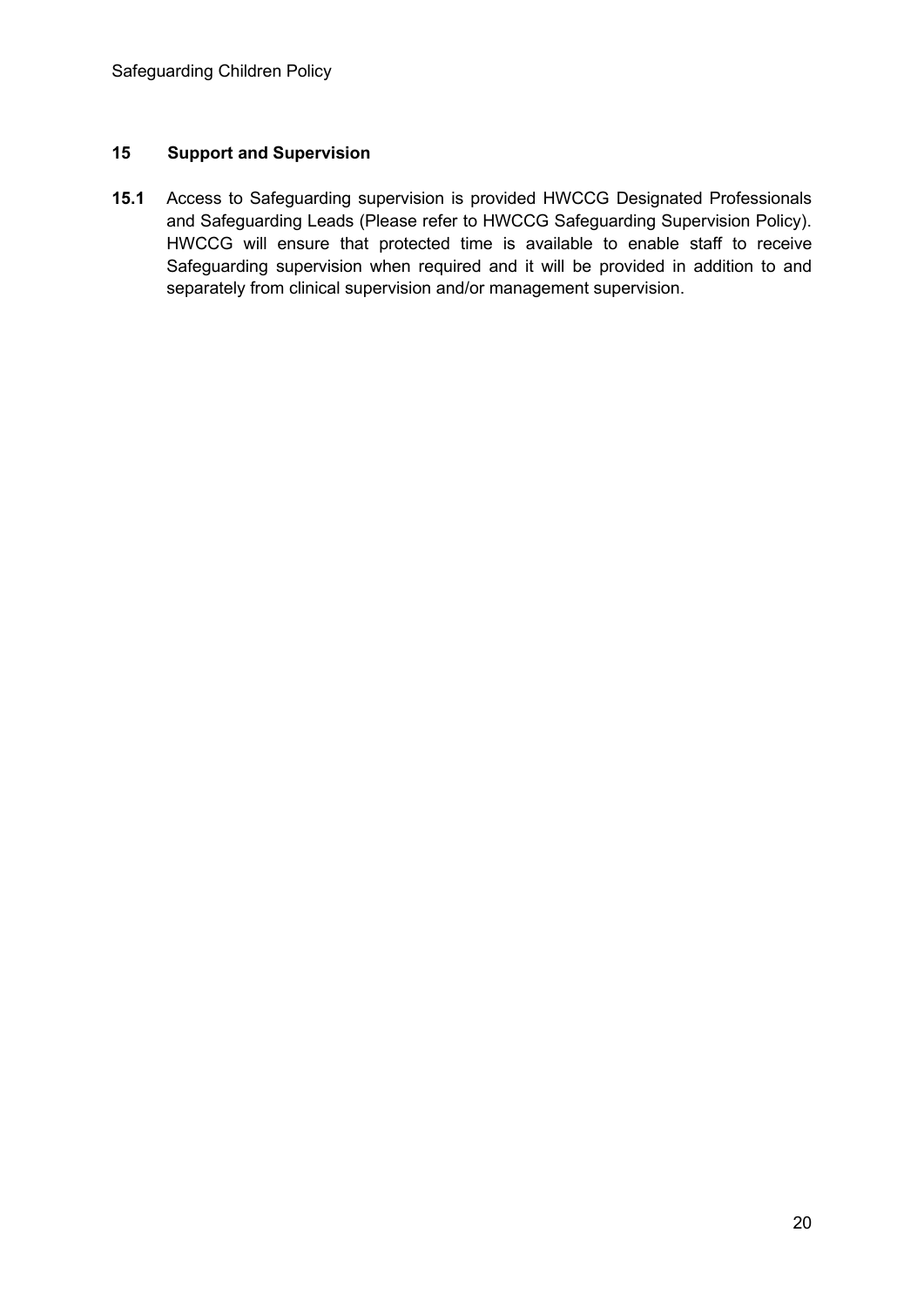#### **15 Support and Supervision**

**15.1** Access to Safeguarding supervision is provided HWCCG Designated Professionals and Safeguarding Leads (Please refer to HWCCG Safeguarding Supervision Policy). HWCCG will ensure that protected time is available to enable staff to receive Safeguarding supervision when required and it will be provided in addition to and separately from clinical supervision and/or management supervision.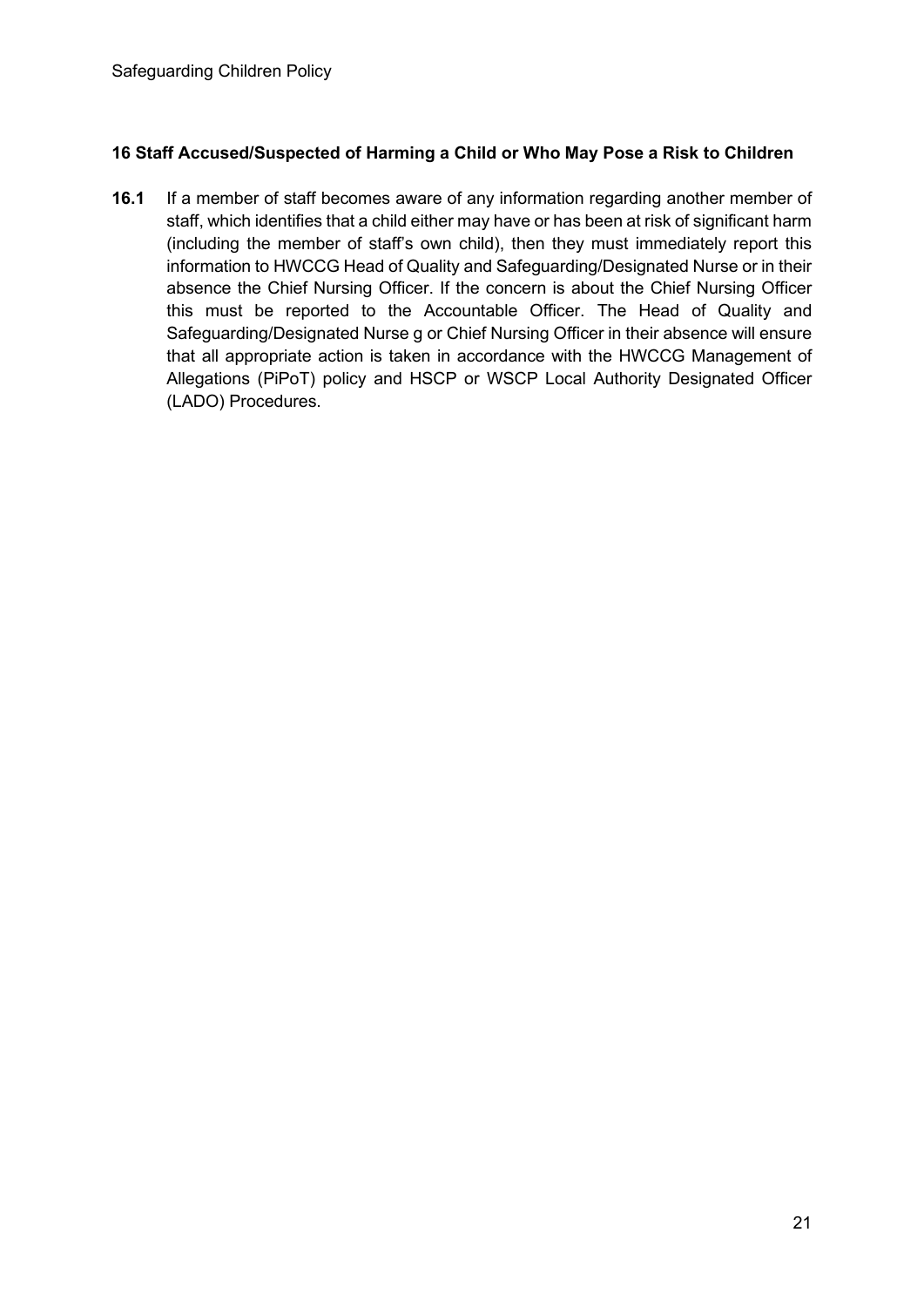#### **16 Staff Accused/Suspected of Harming a Child or Who May Pose a Risk to Children**

**16.1** If a member of staff becomes aware of any information regarding another member of staff, which identifies that a child either may have or has been at risk of significant harm (including the member of staff's own child), then they must immediately report this information to HWCCG Head of Quality and Safeguarding/Designated Nurse or in their absence the Chief Nursing Officer. If the concern is about the Chief Nursing Officer this must be reported to the Accountable Officer. The Head of Quality and Safeguarding/Designated Nurse g or Chief Nursing Officer in their absence will ensure that all appropriate action is taken in accordance with the HWCCG Management of Allegations (PiPoT) policy and HSCP or WSCP Local Authority Designated Officer (LADO) Procedures.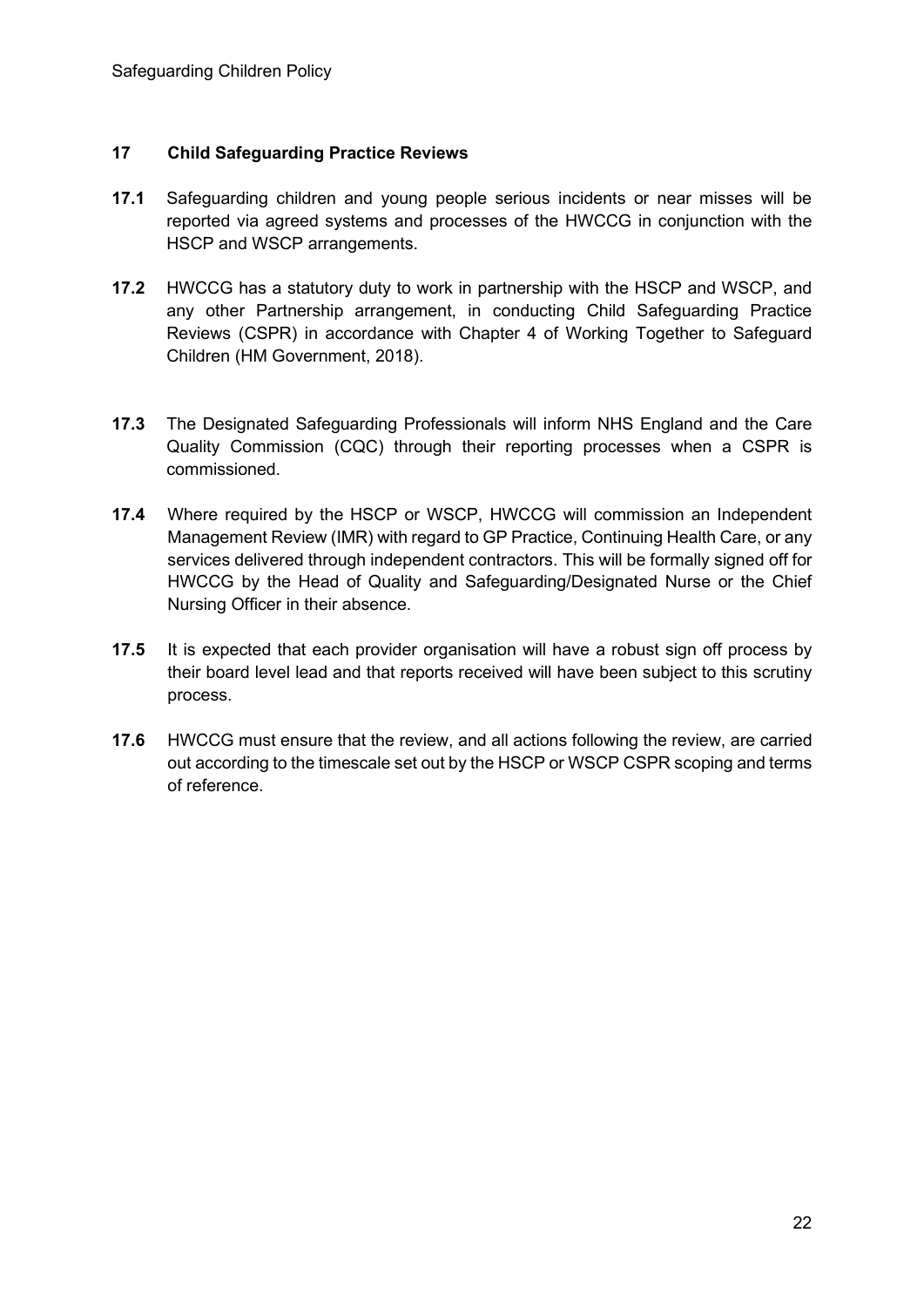#### **17 Child Safeguarding Practice Reviews**

- **17.1** Safeguarding children and young people serious incidents or near misses will be reported via agreed systems and processes of the HWCCG in conjunction with the HSCP and WSCP arrangements.
- **17.2** HWCCG has a statutory duty to work in partnership with the HSCP and WSCP, and any other Partnership arrangement, in conducting Child Safeguarding Practice Reviews (CSPR) in accordance with Chapter 4 of Working Together to Safeguard Children (HM Government, 2018).
- **17.3** The Designated Safeguarding Professionals will inform NHS England and the Care Quality Commission (CQC) through their reporting processes when a CSPR is commissioned.
- **17.4** Where required by the HSCP or WSCP, HWCCG will commission an Independent Management Review (IMR) with regard to GP Practice, Continuing Health Care, or any services delivered through independent contractors. This will be formally signed off for HWCCG by the Head of Quality and Safeguarding/Designated Nurse or the Chief Nursing Officer in their absence.
- **17.5** It is expected that each provider organisation will have a robust sign off process by their board level lead and that reports received will have been subject to this scrutiny process.
- **17.6** HWCCG must ensure that the review, and all actions following the review, are carried out according to the timescale set out by the HSCP or WSCP CSPR scoping and terms of reference.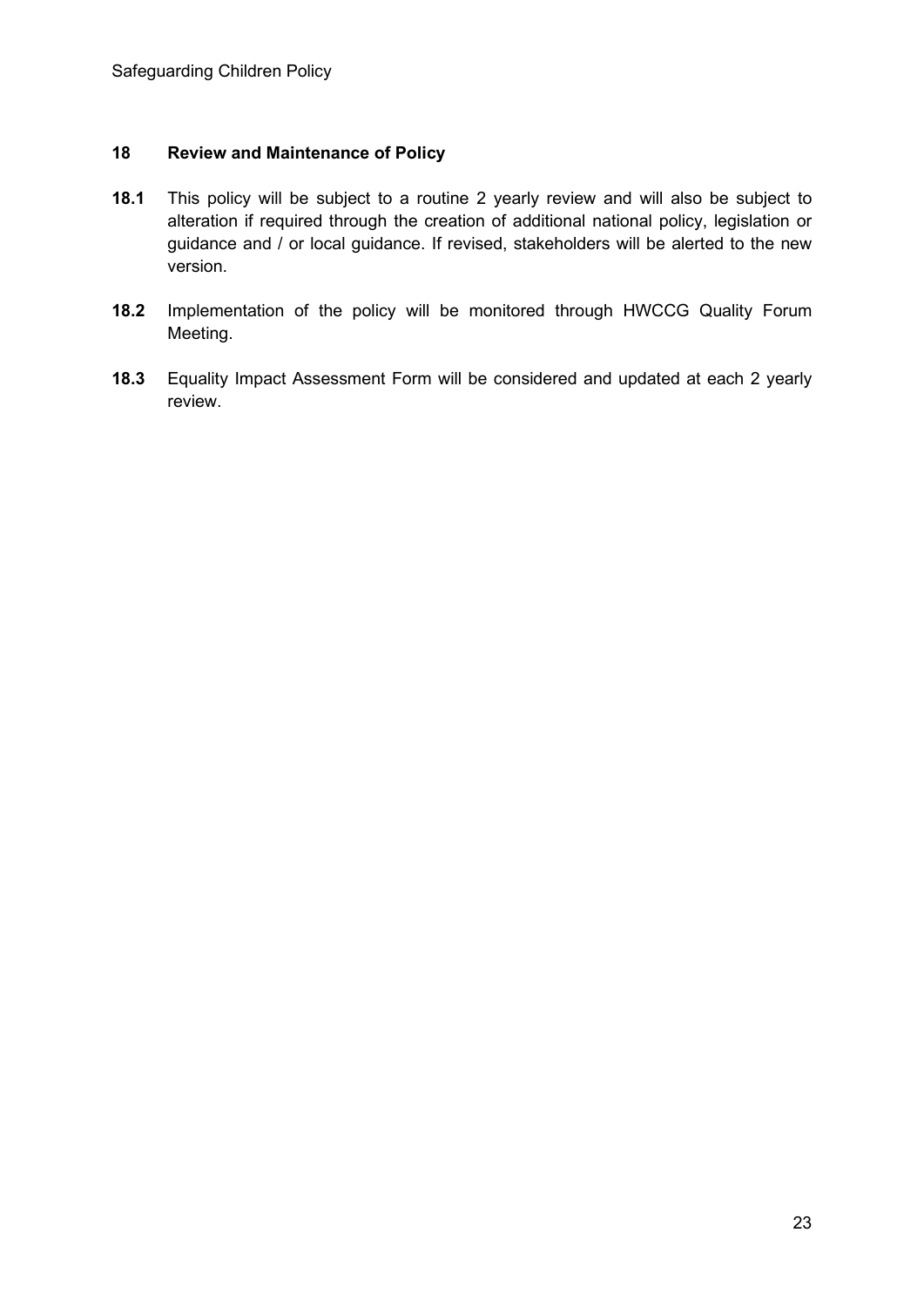#### **18 Review and Maintenance of Policy**

- **18.1** This policy will be subject to a routine 2 yearly review and will also be subject to alteration if required through the creation of additional national policy, legislation or guidance and / or local guidance. If revised, stakeholders will be alerted to the new version.
- **18.2** Implementation of the policy will be monitored through HWCCG Quality Forum Meeting.
- **18.3** Equality Impact Assessment Form will be considered and updated at each 2 yearly review.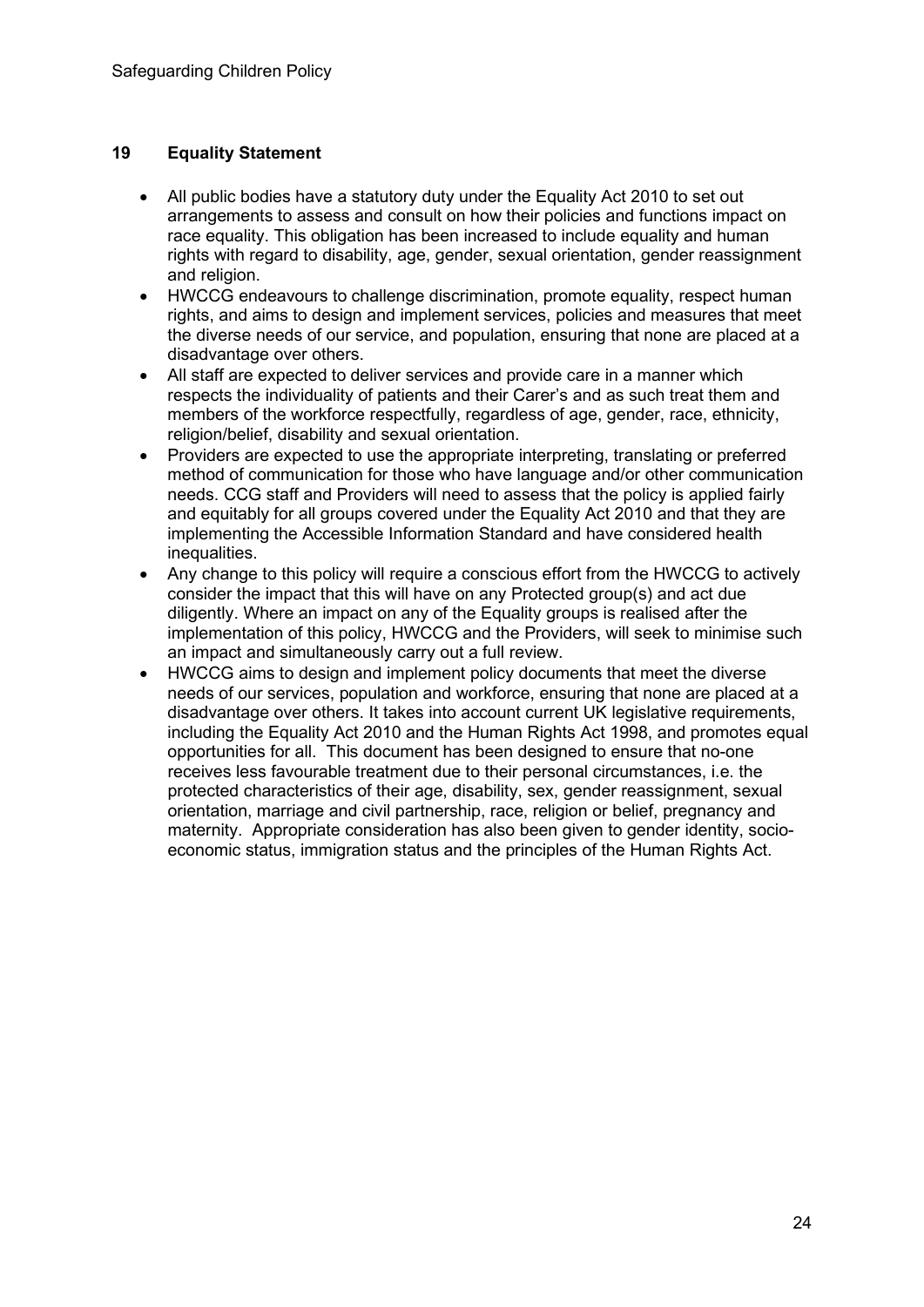#### **19 Equality Statement**

- All public bodies have a statutory duty under the Equality Act 2010 to set out arrangements to assess and consult on how their policies and functions impact on race equality. This obligation has been increased to include equality and human rights with regard to disability, age, gender, sexual orientation, gender reassignment and religion.
- HWCCG endeavours to challenge discrimination, promote equality, respect human rights, and aims to design and implement services, policies and measures that meet the diverse needs of our service, and population, ensuring that none are placed at a disadvantage over others.
- All staff are expected to deliver services and provide care in a manner which respects the individuality of patients and their Carer's and as such treat them and members of the workforce respectfully, regardless of age, gender, race, ethnicity, religion/belief, disability and sexual orientation.
- Providers are expected to use the appropriate interpreting, translating or preferred method of communication for those who have language and/or other communication needs. CCG staff and Providers will need to assess that the policy is applied fairly and equitably for all groups covered under the Equality Act 2010 and that they are implementing the Accessible Information Standard and have considered health inequalities.
- Any change to this policy will require a conscious effort from the HWCCG to actively consider the impact that this will have on any Protected group(s) and act due diligently. Where an impact on any of the Equality groups is realised after the implementation of this policy, HWCCG and the Providers, will seek to minimise such an impact and simultaneously carry out a full review.
- HWCCG aims to design and implement policy documents that meet the diverse needs of our services, population and workforce, ensuring that none are placed at a disadvantage over others. It takes into account current UK legislative requirements, including the Equality Act 2010 and the Human Rights Act 1998, and promotes equal opportunities for all. This document has been designed to ensure that no-one receives less favourable treatment due to their personal circumstances, i.e. the protected characteristics of their age, disability, sex, gender reassignment, sexual orientation, marriage and civil partnership, race, religion or belief, pregnancy and maternity. Appropriate consideration has also been given to gender identity, socioeconomic status, immigration status and the principles of the Human Rights Act.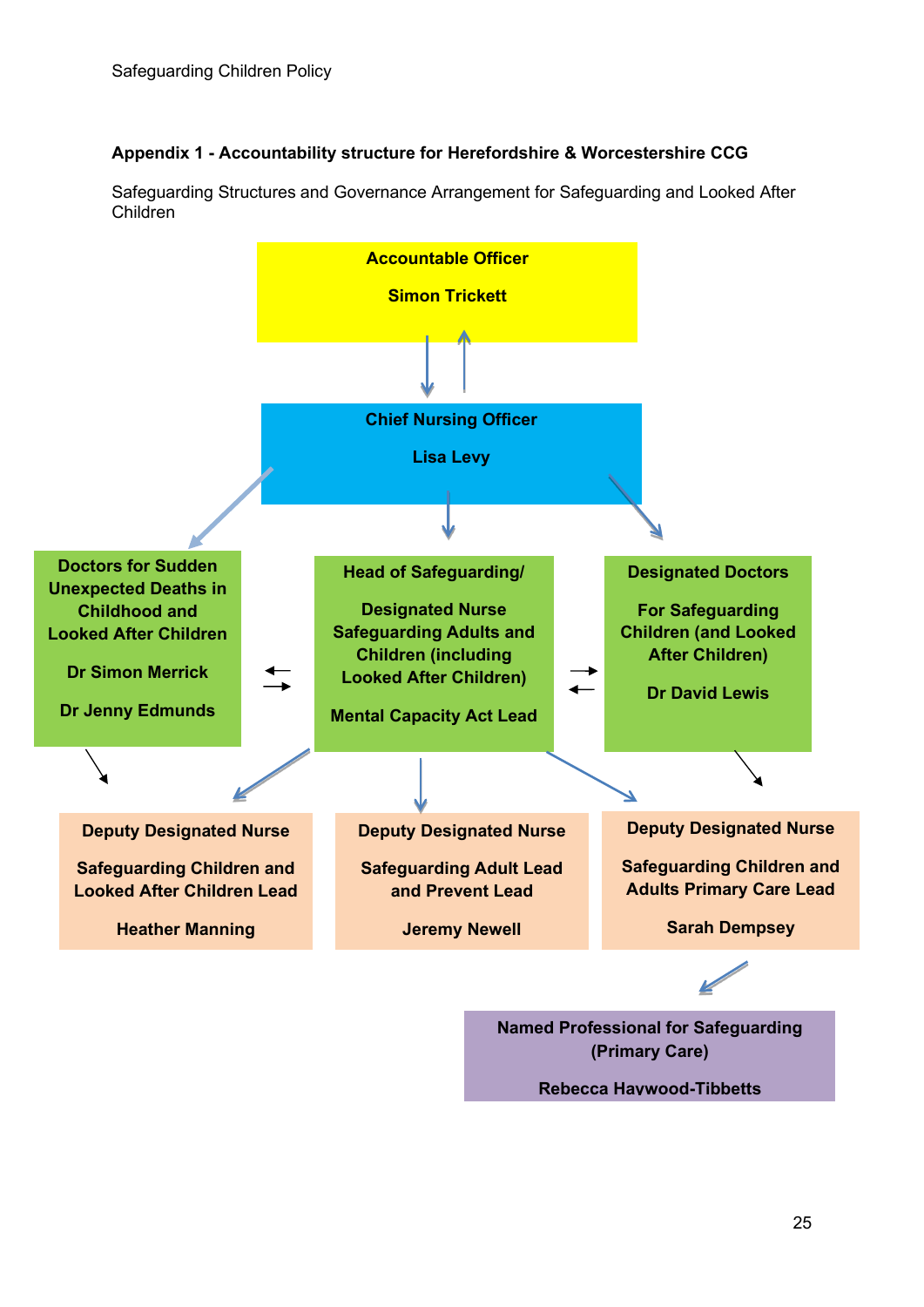#### **Appendix 1 - Accountability structure for Herefordshire & Worcestershire CCG**





**Rebecca Haywood-Tibbetts**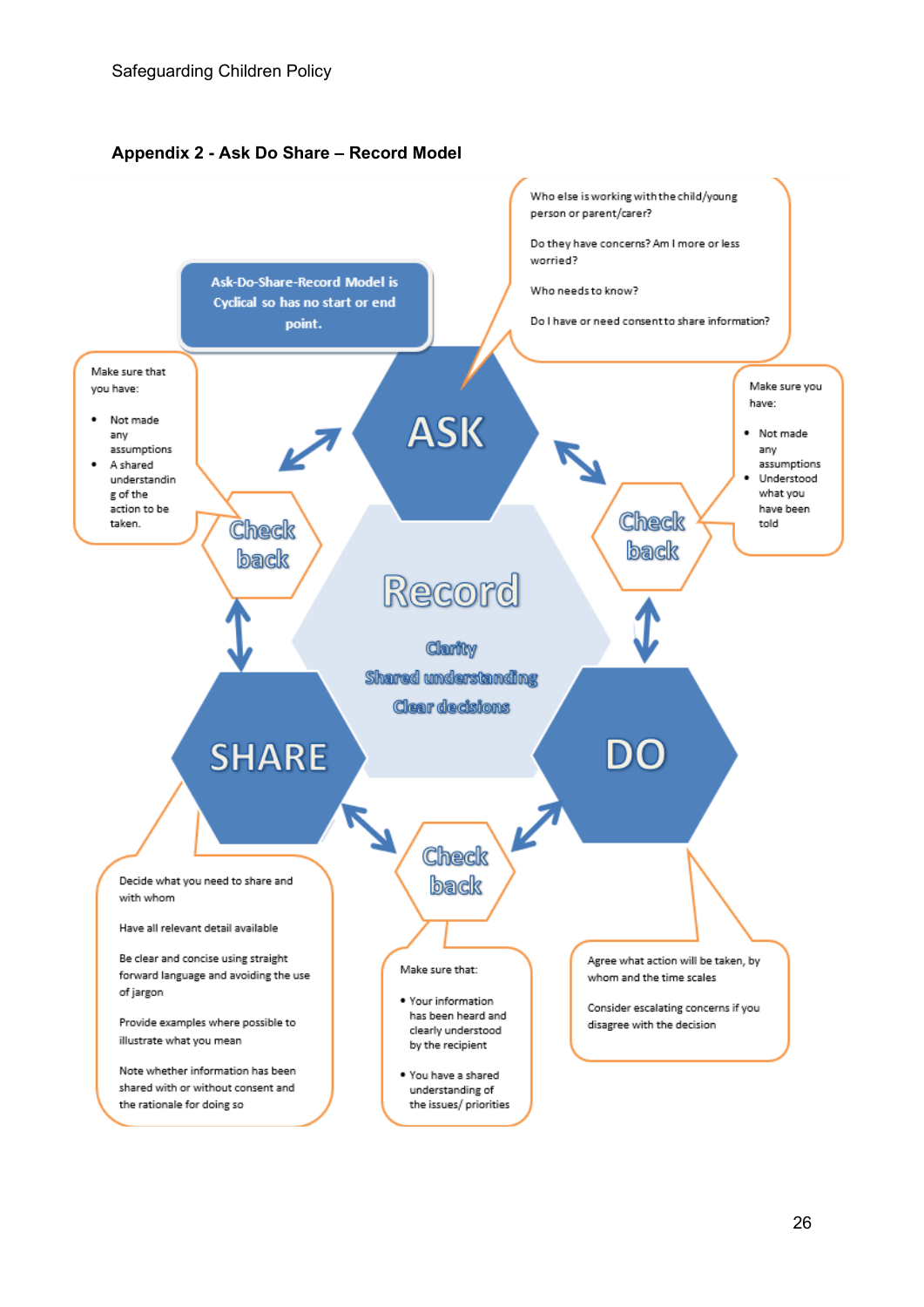

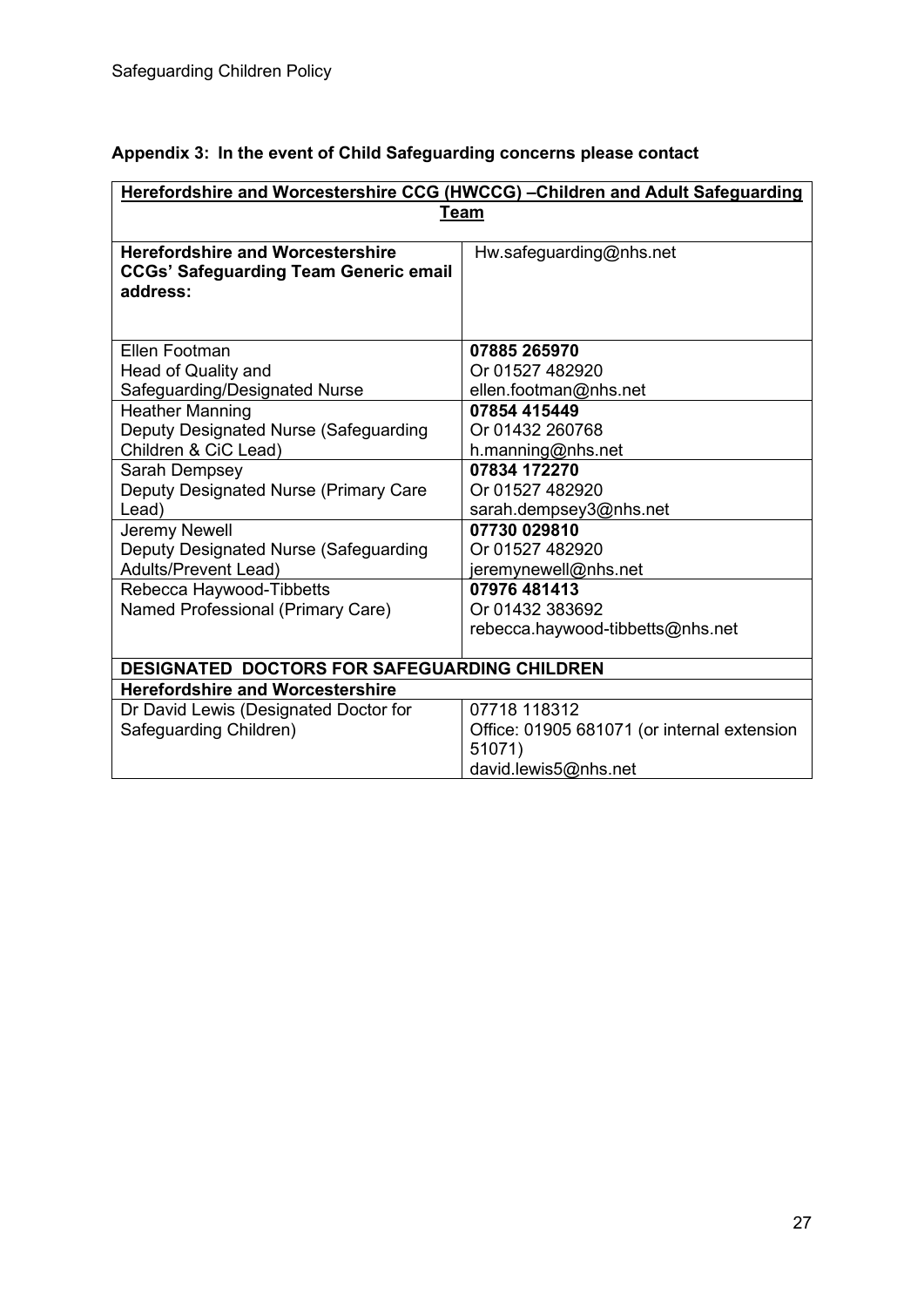|  |  |  | Appendix 3: In the event of Child Safeguarding concerns please contact |
|--|--|--|------------------------------------------------------------------------|
|--|--|--|------------------------------------------------------------------------|

| Herefordshire and Worcestershire CCG (HWCCG) - Children and Adult Safeguarding |                                             |  |  |  |  |
|--------------------------------------------------------------------------------|---------------------------------------------|--|--|--|--|
| <b>Team</b>                                                                    |                                             |  |  |  |  |
|                                                                                |                                             |  |  |  |  |
| <b>Herefordshire and Worcestershire</b>                                        | Hw.safeguarding@nhs.net                     |  |  |  |  |
| <b>CCGs' Safeguarding Team Generic email</b>                                   |                                             |  |  |  |  |
| address:                                                                       |                                             |  |  |  |  |
|                                                                                |                                             |  |  |  |  |
| Ellen Footman                                                                  | 07885 265970                                |  |  |  |  |
| Head of Quality and                                                            | Or 01527 482920                             |  |  |  |  |
| Safeguarding/Designated Nurse                                                  | ellen.footman@nhs.net                       |  |  |  |  |
| <b>Heather Manning</b>                                                         | 07854 415449                                |  |  |  |  |
| Deputy Designated Nurse (Safeguarding                                          | Or 01432 260768                             |  |  |  |  |
| Children & CiC Lead)                                                           | h.manning@nhs.net                           |  |  |  |  |
| Sarah Dempsey                                                                  | 07834 172270                                |  |  |  |  |
| Deputy Designated Nurse (Primary Care                                          | Or 01527 482920                             |  |  |  |  |
| Lead)                                                                          | sarah.dempsey3@nhs.net                      |  |  |  |  |
| Jeremy Newell                                                                  | 07730 029810                                |  |  |  |  |
| Deputy Designated Nurse (Safeguarding                                          | Or 01527 482920                             |  |  |  |  |
| <b>Adults/Prevent Lead)</b>                                                    | jeremynewell@nhs.net                        |  |  |  |  |
| Rebecca Haywood-Tibbetts                                                       | 07976 481413                                |  |  |  |  |
| Named Professional (Primary Care)                                              | Or 01432 383692                             |  |  |  |  |
|                                                                                | rebecca.haywood-tibbetts@nhs.net            |  |  |  |  |
|                                                                                |                                             |  |  |  |  |
| <b>DESIGNATED DOCTORS FOR SAFEGUARDING CHILDREN</b>                            |                                             |  |  |  |  |
| <b>Herefordshire and Worcestershire</b>                                        |                                             |  |  |  |  |
| Dr David Lewis (Designated Doctor for                                          | 07718 118312                                |  |  |  |  |
| Safeguarding Children)                                                         | Office: 01905 681071 (or internal extension |  |  |  |  |
|                                                                                | 51071)                                      |  |  |  |  |
|                                                                                | david.lewis5@nhs.net                        |  |  |  |  |